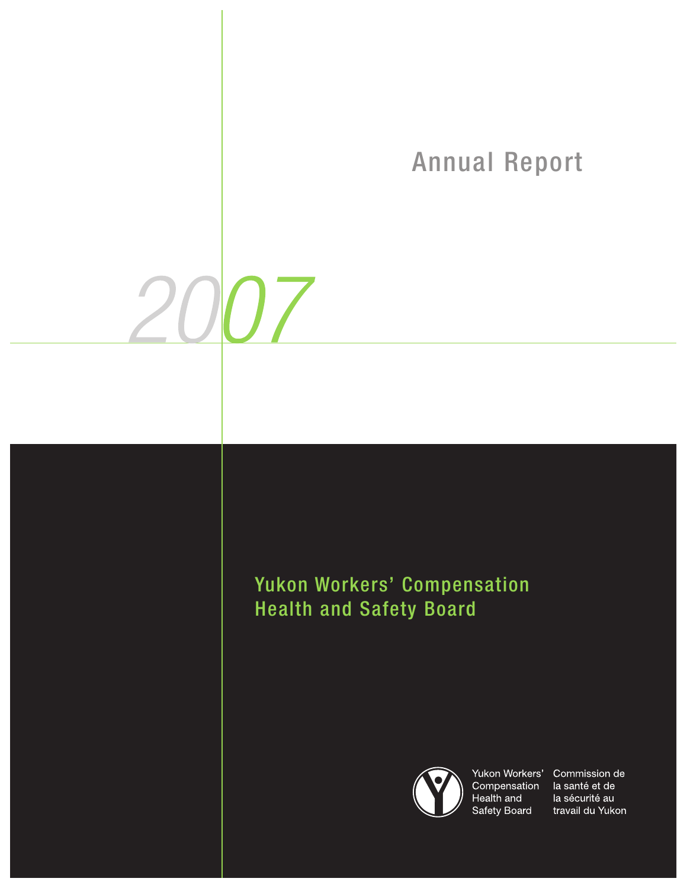# Annual Report

## Yukon Workers' Compensation Health and Safety Board

 $200$ 



Yukon Workers' Commission de Compensation Health and Safety Board

la santé et de la sécurité au travail du Yukon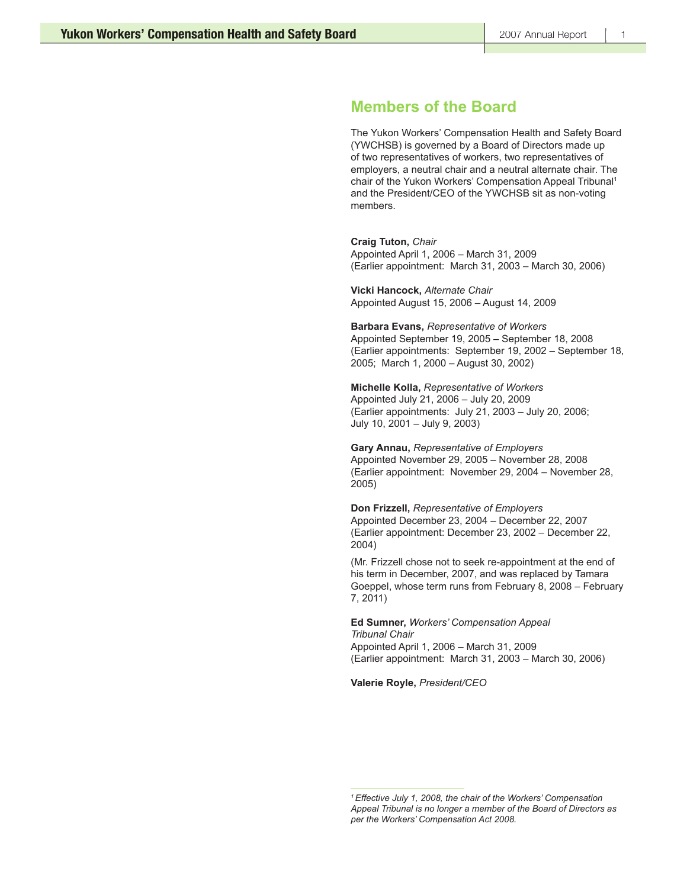### **Members of the Board**

The Yukon Workers' Compensation Health and Safety Board (YWCHSB) is governed by a Board of Directors made up of two representatives of workers, two representatives of employers, a neutral chair and a neutral alternate chair. The chair of the Yukon Workers' Compensation Appeal Tribunal<sup>1</sup> and the President/CEO of the YWCHSB sit as non-voting members.

**Craig Tuton,** *Chair*

Appointed April 1, 2006 – March 31, 2009 (Earlier appointment: March 31, 2003 – March 30, 2006)

**Vicki Hancock,** *Alternate Chair* Appointed August 15, 2006 – August 14, 2009

**Barbara Evans,** *Representative of Workers* Appointed September 19, 2005 – September 18, 2008 (Earlier appointments: September 19, 2002 – September 18, 2005; March 1, 2000 – August 30, 2002)

**Michelle Kolla,** *Representative of Workers*

Appointed July 21, 2006 – July 20, 2009 (Earlier appointments: July 21, 2003 – July 20, 2006; July 10, 2001 – July 9, 2003)

**Gary Annau,** *Representative of Employers* Appointed November 29, 2005 – November 28, 2008 (Earlier appointment: November 29, 2004 – November 28, 2005)

**Don Frizzell,** *Representative of Employers* Appointed December 23, 2004 – December 22, 2007 (Earlier appointment: December 23, 2002 – December 22, 2004)

(Mr. Frizzell chose not to seek re-appointment at the end of his term in December, 2007, and was replaced by Tamara Goeppel, whose term runs from February 8, 2008 – February 7, 2011)

**Ed Sumner,** *Workers' Compensation Appeal Tribunal Chair* Appointed April 1, 2006 – March 31, 2009 (Earlier appointment: March 31, 2003 – March 30, 2006)

**Valerie Royle,** *President/CEO*

*<sup>1</sup> Effective July 1, 2008, the chair of the Workers' Compensation Appeal Tribunal is no longer a member of the Board of Directors as per the Workers' Compensation Act 2008.*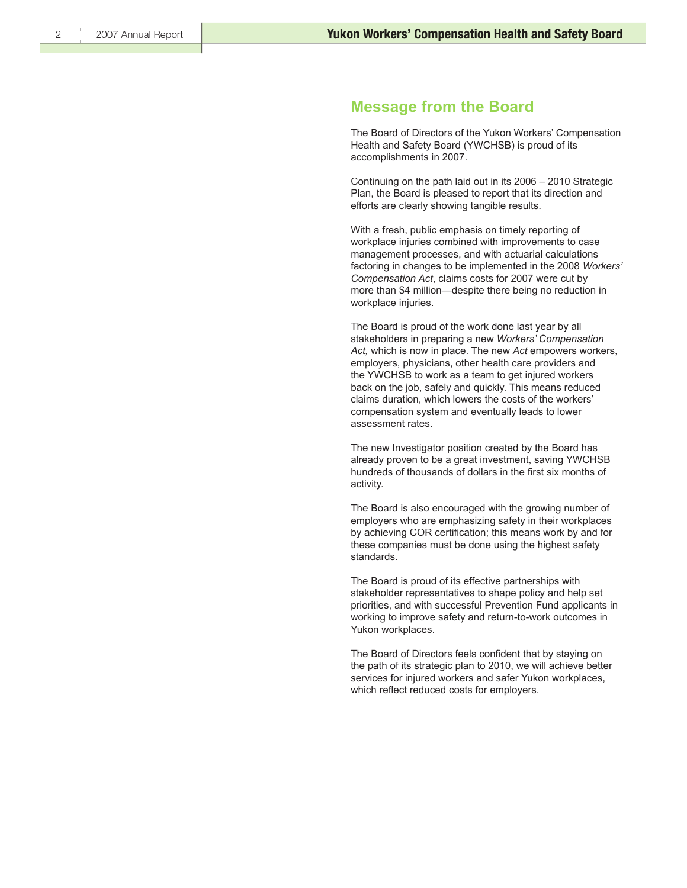### **Message from the Board**

The Board of Directors of the Yukon Workers' Compensation Health and Safety Board (YWCHSB) is proud of its accomplishments in 2007.

Continuing on the path laid out in its 2006 – 2010 Strategic Plan, the Board is pleased to report that its direction and efforts are clearly showing tangible results.

With a fresh, public emphasis on timely reporting of workplace injuries combined with improvements to case management processes, and with actuarial calculations factoring in changes to be implemented in the 2008 *Workers' Compensation Act*, claims costs for 2007 were cut by more than \$4 million—despite there being no reduction in workplace injuries.

The Board is proud of the work done last year by all stakeholders in preparing a new *Workers' Compensation Act,* which is now in place. The new *Act* empowers workers, employers, physicians, other health care providers and the YWCHSB to work as a team to get injured workers back on the job, safely and quickly. This means reduced claims duration, which lowers the costs of the workers' compensation system and eventually leads to lower assessment rates.

The new Investigator position created by the Board has already proven to be a great investment, saving YWCHSB hundreds of thousands of dollars in the first six months of activity.

The Board is also encouraged with the growing number of employers who are emphasizing safety in their workplaces by achieving COR certification; this means work by and for these companies must be done using the highest safety standards.

The Board is proud of its effective partnerships with stakeholder representatives to shape policy and help set priorities, and with successful Prevention Fund applicants in working to improve safety and return-to-work outcomes in Yukon workplaces.

The Board of Directors feels confident that by staying on the path of its strategic plan to 2010, we will achieve better services for injured workers and safer Yukon workplaces, which reflect reduced costs for employers.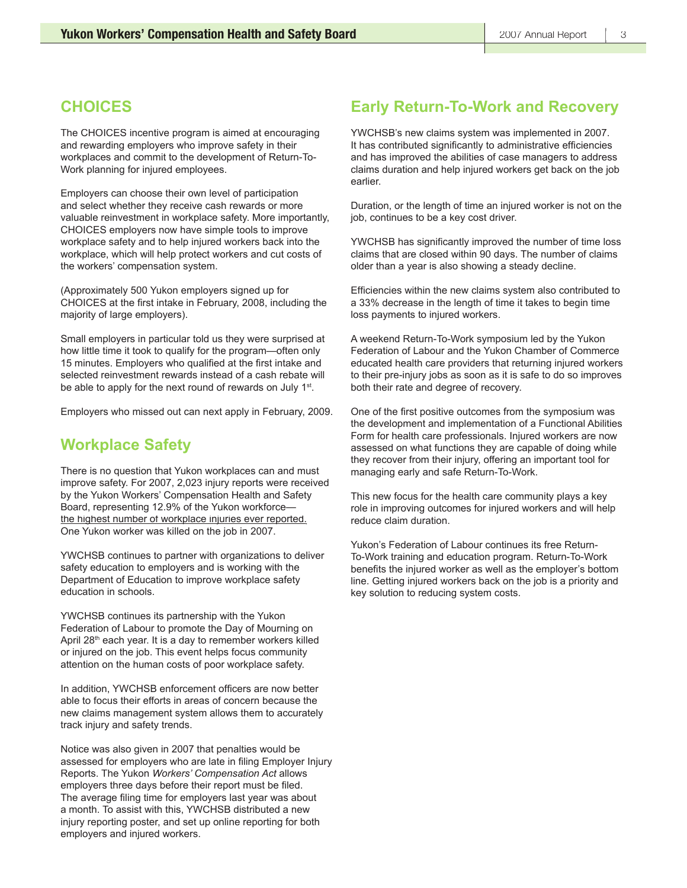## **CHOICES**

The CHOICES incentive program is aimed at encouraging and rewarding employers who improve safety in their workplaces and commit to the development of Return-To-Work planning for injured employees.

Employers can choose their own level of participation and select whether they receive cash rewards or more valuable reinvestment in workplace safety. More importantly, CHOICES employers now have simple tools to improve workplace safety and to help injured workers back into the workplace, which will help protect workers and cut costs of the workers' compensation system.

(Approximately 500 Yukon employers signed up for CHOICES at the first intake in February, 2008, including the majority of large employers).

Small employers in particular told us they were surprised at how little time it took to qualify for the program—often only 15 minutes. Employers who qualified at the first intake and selected reinvestment rewards instead of a cash rebate will be able to apply for the next round of rewards on July 1<sup>st</sup>.

Employers who missed out can next apply in February, 2009.

## **Workplace Safety**

There is no question that Yukon workplaces can and must improve safety. For 2007, 2,023 injury reports were received by the Yukon Workers' Compensation Health and Safety Board, representing 12.9% of the Yukon workforce the highest number of workplace injuries ever reported. One Yukon worker was killed on the job in 2007.

YWCHSB continues to partner with organizations to deliver safety education to employers and is working with the Department of Education to improve workplace safety education in schools.

YWCHSB continues its partnership with the Yukon Federation of Labour to promote the Day of Mourning on April 28<sup>th</sup> each year. It is a day to remember workers killed or injured on the job. This event helps focus community attention on the human costs of poor workplace safety.

In addition, YWCHSB enforcement officers are now better able to focus their efforts in areas of concern because the new claims management system allows them to accurately track injury and safety trends.

Notice was also given in 2007 that penalties would be assessed for employers who are late in filing Employer Injury Reports. The Yukon *Workers' Compensation Act* allows employers three days before their report must be filed. The average filing time for employers last year was about a month. To assist with this, YWCHSB distributed a new injury reporting poster, and set up online reporting for both employers and injured workers.

## **Early Return-To-Work and Recovery**

YWCHSB's new claims system was implemented in 2007. It has contributed significantly to administrative efficiencies and has improved the abilities of case managers to address claims duration and help injured workers get back on the job earlier.

Duration, or the length of time an injured worker is not on the job, continues to be a key cost driver.

YWCHSB has significantly improved the number of time loss claims that are closed within 90 days. The number of claims older than a year is also showing a steady decline.

Efficiencies within the new claims system also contributed to a 33% decrease in the length of time it takes to begin time loss payments to injured workers.

A weekend Return-To-Work symposium led by the Yukon Federation of Labour and the Yukon Chamber of Commerce educated health care providers that returning injured workers to their pre-injury jobs as soon as it is safe to do so improves both their rate and degree of recovery.

One of the first positive outcomes from the symposium was the development and implementation of a Functional Abilities Form for health care professionals. Injured workers are now assessed on what functions they are capable of doing while they recover from their injury, offering an important tool for managing early and safe Return-To-Work.

This new focus for the health care community plays a key role in improving outcomes for injured workers and will help reduce claim duration.

Yukon's Federation of Labour continues its free Return-To-Work training and education program. Return-To-Work benefits the injured worker as well as the employer's bottom line. Getting injured workers back on the job is a priority and key solution to reducing system costs.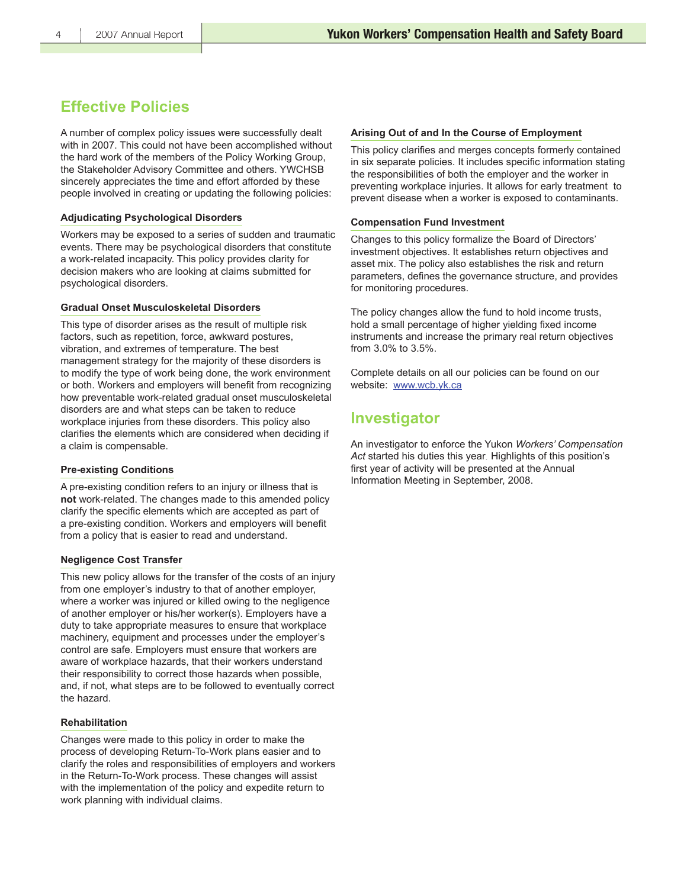## **Effective Policies**

A number of complex policy issues were successfully dealt with in 2007. This could not have been accomplished without the hard work of the members of the Policy Working Group, the Stakeholder Advisory Committee and others. YWCHSB sincerely appreciates the time and effort afforded by these people involved in creating or updating the following policies:

#### **Adjudicating Psychological Disorders**

Workers may be exposed to a series of sudden and traumatic events. There may be psychological disorders that constitute a work-related incapacity. This policy provides clarity for decision makers who are looking at claims submitted for psychological disorders.

#### **Gradual Onset Musculoskeletal Disorders**

This type of disorder arises as the result of multiple risk factors, such as repetition, force, awkward postures, vibration, and extremes of temperature. The best management strategy for the majority of these disorders is to modify the type of work being done, the work environment or both. Workers and employers will benefit from recognizing how preventable work-related gradual onset musculoskeletal disorders are and what steps can be taken to reduce workplace injuries from these disorders. This policy also clarifies the elements which are considered when deciding if a claim is compensable.

#### **Pre-existing Conditions**

A pre-existing condition refers to an injury or illness that is **not** work-related. The changes made to this amended policy clarify the specific elements which are accepted as part of a pre-existing condition. Workers and employers will benefit from a policy that is easier to read and understand.

#### **Negligence Cost Transfer**

This new policy allows for the transfer of the costs of an injury from one employer's industry to that of another employer, where a worker was injured or killed owing to the negligence of another employer or his/her worker(s). Employers have a duty to take appropriate measures to ensure that workplace machinery, equipment and processes under the employer's control are safe. Employers must ensure that workers are aware of workplace hazards, that their workers understand their responsibility to correct those hazards when possible, and, if not, what steps are to be followed to eventually correct the hazard.

#### **Rehabilitation**

Changes were made to this policy in order to make the process of developing Return-To-Work plans easier and to clarify the roles and responsibilities of employers and workers in the Return-To-Work process. These changes will assist with the implementation of the policy and expedite return to work planning with individual claims.

### **Arising Out of and In the Course of Employment**

This policy clarifies and merges concepts formerly contained in six separate policies. It includes specific information stating the responsibilities of both the employer and the worker in preventing workplace injuries. It allows for early treatment to prevent disease when a worker is exposed to contaminants.

### **Compensation Fund Investment**

Changes to this policy formalize the Board of Directors' investment objectives. It establishes return objectives and asset mix. The policy also establishes the risk and return parameters, defines the governance structure, and provides for monitoring procedures.

The policy changes allow the fund to hold income trusts, hold a small percentage of higher yielding fixed income instruments and increase the primary real return objectives from 3.0% to 3.5%.

Complete details on all our policies can be found on our website: www.wcb.yk.ca

## **Investigator**

An investigator to enforce the Yukon *Workers' Compensation Act* started his duties this year*.* Highlights of this position's first year of activity will be presented at the Annual Information Meeting in September, 2008.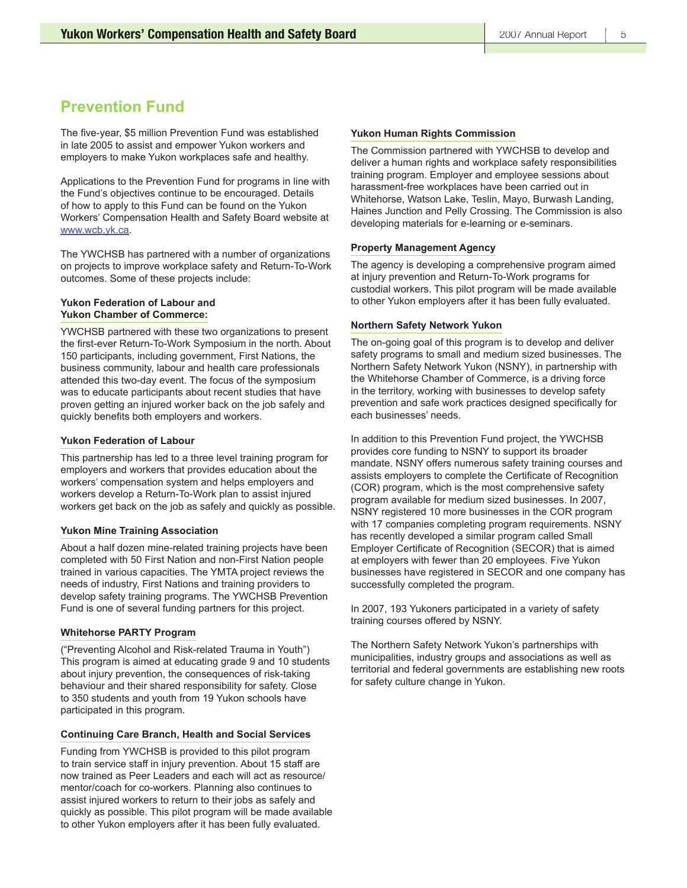## **Prevention Fund**

The five-year, \$5 million Prevention Fund was established in late 2005 to assist and empower Yukon workers and employers to make Yukon workplaces safe and healthy.

Applications to the Prevention Fund for programs in line with the Fund's objectives continue to be encouraged. Details of how to apply to this Fund can be found on the Yukon Workers' Compensation Health and Safety Board website at www.wcb.yk.ca.

The YWCHSB has partnered with a number of organizations on projects to improve workplace safety and Return-To-Work outcomes. Some of these projects include:

### **Yukon Federation of Labour and Yukon Chamber of Commerce:**

YWCHSB partnered with these two organizations to present the first-ever Return-To-Work Symposium in the north. About 150 participants, including government, First Nations, the business community, labour and health care professionals attended this two-day event. The focus of the symposium was to educate participants about recent studies that have proven getting an injured worker back on the job safely and quickly benefits both employers and workers.

### **Yukon Federation of Labour**

This partnership has led to a three level training program for employers and workers that provides education about the workers' compensation system and helps employers and workers develop a Return-To-Work plan to assist injured workers get back on the job as safely and quickly as possible.

### **Yukon Mine Training Association**

About a half dozen mine-related training projects have been completed with 50 First Nation and non-First Nation people trained in various capacities. The YMTA project reviews the needs of industry, First Nations and training providers to develop safety training programs. The YWCHSB Prevention Fund is one of several funding partners for this project.

#### **Whitehorse PARTY Program**

("Preventing Alcohol and Risk-related Trauma in Youth") This program is aimed at educating grade 9 and 10 students about injury prevention, the consequences of risk-taking behaviour and their shared responsibility for safety. Close to 350 students and youth from 19 Yukon schools have participated in this program.

### **Continuing Care Branch, Health and Social Services**

Funding from YWCHSB is provided to this pilot program to train service staff in injury prevention. About 15 staff are now trained as Peer Leaders and each will act as resource/ mentor/coach for co-workers. Planning also continues to assist injured workers to return to their jobs as safely and quickly as possible. This pilot program will be made available to other Yukon employers after it has been fully evaluated.

#### **Yukon Human Rights Commission**

The Commission partnered with YWCHSB to develop and deliver a human rights and workplace safety responsibilities training program. Employer and employee sessions about harassment-free workplaces have been carried out in Whitehorse, Watson Lake, Teslin, Mayo, Burwash Landing, Haines Junction and Pelly Crossing. The Commission is also developing materials for e-learning or e-seminars.

#### **Property Management Agency**

The agency is developing a comprehensive program aimed at injury prevention and Return-To-Work programs for custodial workers. This pilot program will be made available to other Yukon employers after it has been fully evaluated.

#### **Northern Safety Network Yukon**

The on-going goal of this program is to develop and deliver safety programs to small and medium sized businesses. The Northern Safety Network Yukon (NSNY), in partnership with the Whitehorse Chamber of Commerce, is a driving force in the territory, working with businesses to develop safety prevention and safe work practices designed specifically for each businesses' needs.

In addition to this Prevention Fund project, the YWCHSB provides core funding to NSNY to support its broader mandate. NSNY offers numerous safety training courses and assists employers to complete the Certificate of Recognition (COR) program, which is the most comprehensive safety program available for medium sized businesses. In 2007, NSNY registered 10 more businesses in the COR program with 17 companies completing program requirements. NSNY has recently developed a similar program called Small Employer Certificate of Recognition (SECOR) that is aimed at employers with fewer than 20 employees. Five Yukon businesses have registered in SECOR and one company has successfully completed the program.

In 2007, 193 Yukoners participated in a variety of safety training courses offered by NSNY.

The Northern Safety Network Yukon's partnerships with municipalities, industry groups and associations as well as territorial and federal governments are establishing new roots for safety culture change in Yukon.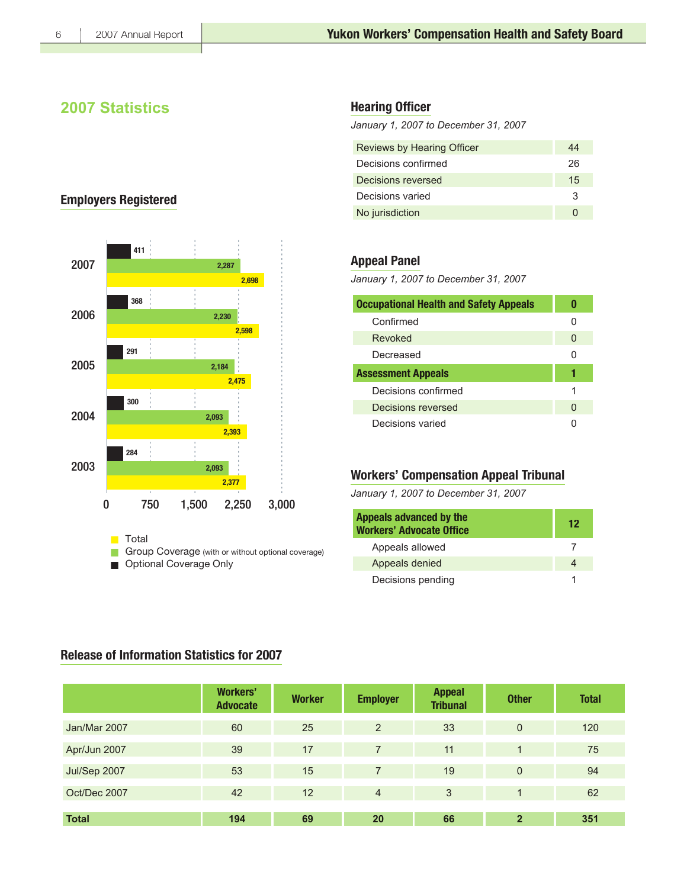6

## **2007 Statistics**

## **Employers Registered**



### **Hearing Officer**

January 1, 2007 to December 31, 2007

| Reviews by Hearing Officer | 44 |
|----------------------------|----|
| Decisions confirmed        | 26 |
| Decisions reversed         | 15 |
| Decisions varied           | 3  |
| No jurisdiction            |    |

### **Appeal Panel**

January 1, 2007 to December 31, 2007

| <b>Occupational Health and Safety Appeals</b> |   |
|-----------------------------------------------|---|
| Confirmed                                     |   |
| Revoked                                       | O |
| Decreased                                     | 0 |
| <b>Assessment Appeals</b>                     |   |
| Decisions confirmed                           | 1 |
| Decisions reversed                            | O |
| Decisions varied                              |   |

### **Workers' Compensation Appeal Tribunal**

January 1, 2007 to December 31, 2007

| Appeals advanced by the<br><b>Workers' Advocate Office</b> | 12 |
|------------------------------------------------------------|----|
| Appeals allowed                                            |    |
| Appeals denied                                             |    |
| Decisions pending                                          |    |

### **Release of Information Statistics for 2007**

|              | <b>Workers'</b><br><b>Advocate</b> | <b>Worker</b> | <b>Employer</b> | <b>Appeal</b><br><b>Tribunal</b> | <b>Other</b>   | <b>Total</b> |
|--------------|------------------------------------|---------------|-----------------|----------------------------------|----------------|--------------|
| Jan/Mar 2007 | 60                                 | 25            | 2               | 33                               | $\mathbf{0}$   | 120          |
| Apr/Jun 2007 | 39                                 | 17            | $\overline{7}$  | 11                               |                | 75           |
| Jul/Sep 2007 | 53                                 | 15            | $\overline{7}$  | 19                               | $\mathbf{0}$   | 94           |
| Oct/Dec 2007 | 42                                 | 12            | $\overline{4}$  | 3                                |                | 62           |
| <b>Total</b> | 194                                | 69            | 20              | 66                               | $\overline{2}$ | 351          |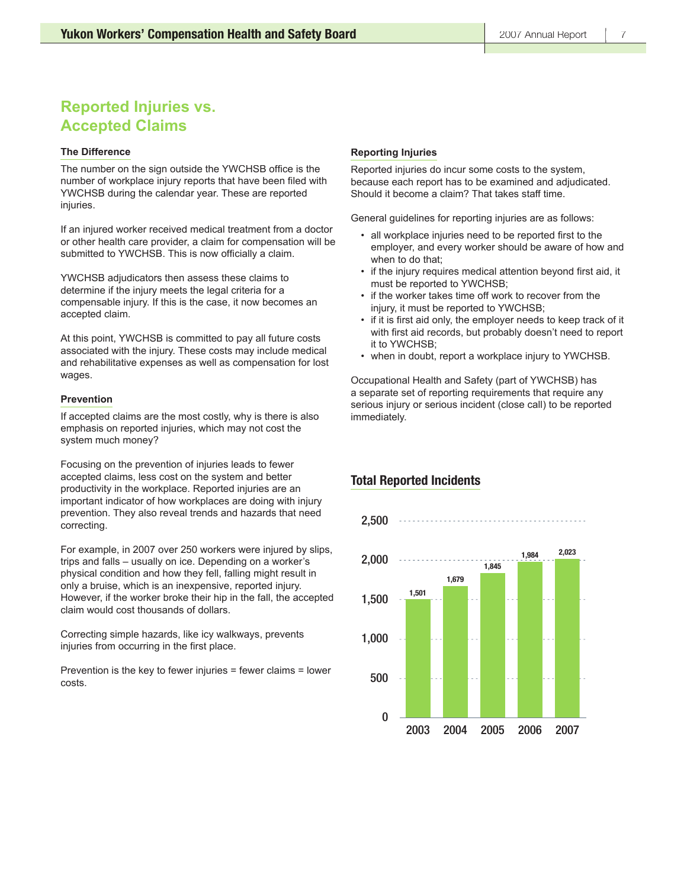## **Reported Injuries vs. Accepted Claims**

#### **The Difference**

The number on the sign outside the YWCHSB office is the number of workplace injury reports that have been filed with YWCHSB during the calendar year. These are reported injuries.

If an injured worker received medical treatment from a doctor or other health care provider, a claim for compensation will be submitted to YWCHSB. This is now officially a claim.

YWCHSB adjudicators then assess these claims to determine if the injury meets the legal criteria for a compensable injury. If this is the case, it now becomes an accepted claim.

At this point, YWCHSB is committed to pay all future costs associated with the injury. These costs may include medical and rehabilitative expenses as well as compensation for lost wages.

#### **Prevention**

If accepted claims are the most costly, why is there is also emphasis on reported injuries, which may not cost the system much money?

Focusing on the prevention of injuries leads to fewer accepted claims, less cost on the system and better productivity in the workplace. Reported injuries are an important indicator of how workplaces are doing with injury prevention. They also reveal trends and hazards that need correcting.

For example, in 2007 over 250 workers were injured by slips, trips and falls – usually on ice. Depending on a worker's physical condition and how they fell, falling might result in only a bruise, which is an inexpensive, reported injury. However, if the worker broke their hip in the fall, the accepted claim would cost thousands of dollars.

Correcting simple hazards, like icy walkways, prevents injuries from occurring in the first place.

Prevention is the key to fewer injuries = fewer claims = lower costs.

### **Reporting Injuries**

Reported injuries do incur some costs to the system, because each report has to be examined and adjudicated. Should it become a claim? That takes staff time.

General guidelines for reporting injuries are as follows:

- all workplace injuries need to be reported first to the employer, and every worker should be aware of how and when to do that;
- if the injury requires medical attention beyond first aid, it must be reported to YWCHSB;
- if the worker takes time off work to recover from the injury, it must be reported to YWCHSB;
- if it is first aid only, the employer needs to keep track of it with first aid records, but probably doesn't need to report it to YWCHSB;
- when in doubt, report a workplace injury to YWCHSB.

Occupational Health and Safety (part of YWCHSB) has a separate set of reporting requirements that require any serious injury or serious incident (close call) to be reported immediately.

### **Total Reported Incidents**

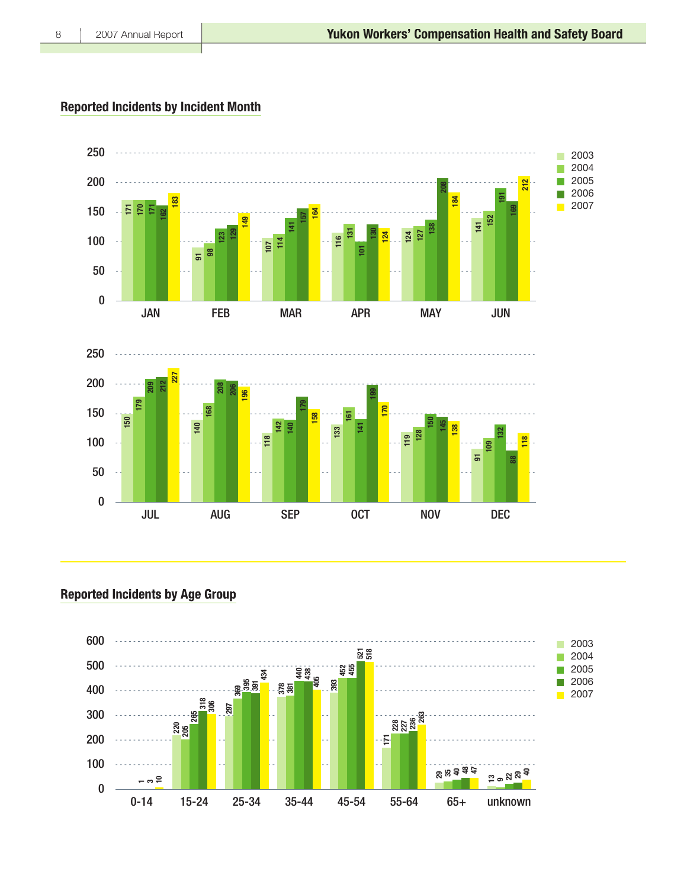## **Reported Incidents by Incident Month**



**Reported Incidents by Age Group** 



 $\,8\,$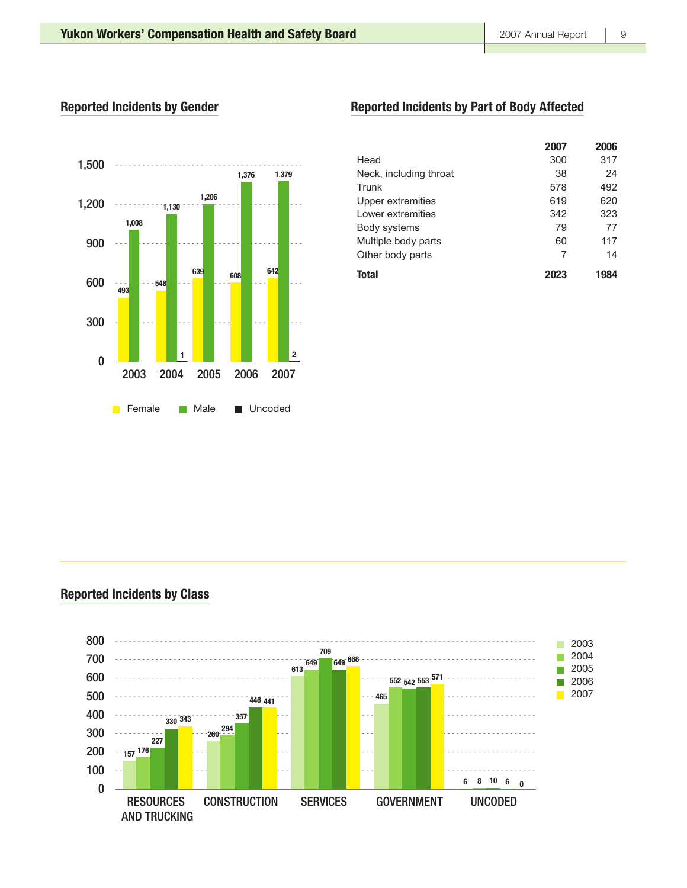### **Reported Incidents by Gender**



## **Reported Incidents by Part of Body Affected**

|                        | 2007 | 2006 |
|------------------------|------|------|
| Head                   | 300  | 317  |
| Neck, including throat | 38   | 24   |
| Trunk                  | 578  | 492  |
| Upper extremities      | 619  | 620  |
| Lower extremities      | 342  | 323  |
| Body systems           | 79   | 77   |
| Multiple body parts    | 60   | 117  |
| Other body parts       | 7    | 14   |
| Total                  |      | 1984 |

### **Reported Incidents by Class**

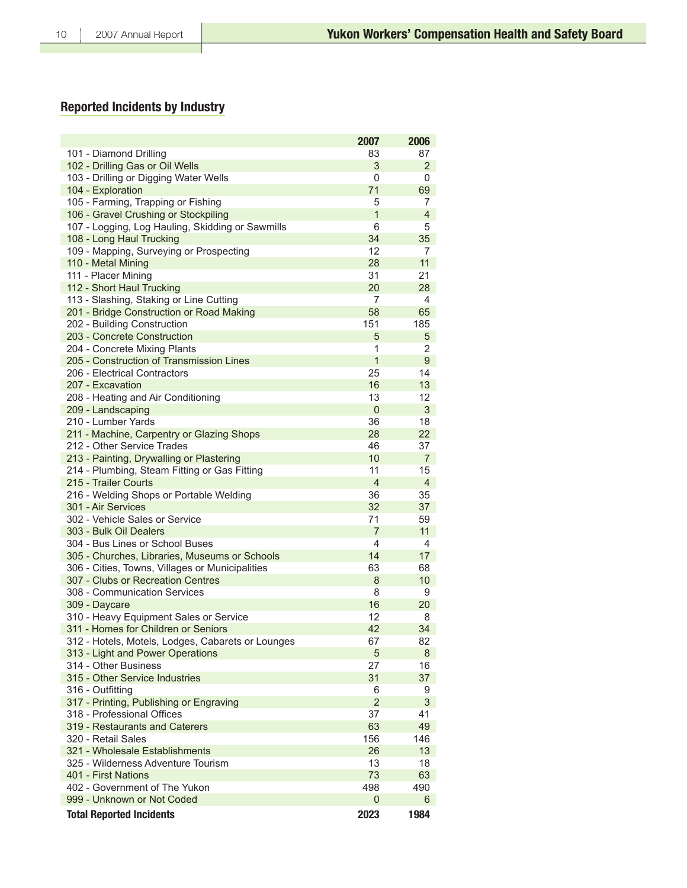## **Reported Incidents by Industry**

|                                                   | 2007           | 2006           |
|---------------------------------------------------|----------------|----------------|
| 101 - Diamond Drilling                            | 83             | 87             |
| 102 - Drilling Gas or Oil Wells                   | 3              | 2              |
| 103 - Drilling or Digging Water Wells             | 0              | 0              |
| 104 - Exploration                                 | 71             | 69             |
| 105 - Farming, Trapping or Fishing                | 5              | 7              |
| 106 - Gravel Crushing or Stockpiling              | $\mathbf{1}$   | $\overline{4}$ |
| 107 - Logging, Log Hauling, Skidding or Sawmills  | 6              | 5              |
| 108 - Long Haul Trucking                          | 34             | 35             |
| 109 - Mapping, Surveying or Prospecting           | 12             | 7              |
| 110 - Metal Mining                                | 28             | 11             |
| 111 - Placer Mining                               | 31             | 21             |
| 112 - Short Haul Trucking                         | 20             | 28             |
| 113 - Slashing, Staking or Line Cutting           | 7              | 4              |
| 201 - Bridge Construction or Road Making          | 58             | 65             |
| 202 - Building Construction                       | 151            | 185            |
| 203 - Concrete Construction                       | 5              | 5              |
| 204 - Concrete Mixing Plants                      | 1              | 2              |
| 205 - Construction of Transmission Lines          | $\mathbf{1}$   | 9              |
| 206 - Electrical Contractors                      | 25             | 14             |
| 207 - Excavation                                  | 16             | 13             |
| 208 - Heating and Air Conditioning                | 13             | 12             |
| 209 - Landscaping                                 | $\mathbf{0}$   | 3              |
| 210 - Lumber Yards                                | 36             | 18             |
| 211 - Machine, Carpentry or Glazing Shops         | 28             | 22             |
| 212 - Other Service Trades                        | 46             | 37             |
| 213 - Painting, Drywalling or Plastering          | 10             | $\overline{7}$ |
| 214 - Plumbing, Steam Fitting or Gas Fitting      | 11             | 15             |
| 215 - Trailer Courts                              | $\overline{4}$ | 4              |
| 216 - Welding Shops or Portable Welding           | 36             | 35             |
| 301 - Air Services                                | 32             | 37             |
| 302 - Vehicle Sales or Service                    | 71             | 59             |
| 303 - Bulk Oil Dealers                            | $\overline{7}$ | 11             |
| 304 - Bus Lines or School Buses                   | 4              | 4              |
| 305 - Churches, Libraries, Museums or Schools     | 14             | 17             |
| 306 - Cities, Towns, Villages or Municipalities   | 63             | 68             |
| 307 - Clubs or Recreation Centres                 | 8              | 10             |
| 308 - Communication Services                      | 8              | 9              |
| 309 - Daycare                                     | 16             | 20             |
| 310 - Heavy Equipment Sales or Service            | 12             | 8              |
| 311 - Homes for Children or Seniors               | 42             | 34             |
| 312 - Hotels, Motels, Lodges, Cabarets or Lounges | 67             | 82             |
| 313 - Light and Power Operations                  | 5              | 8              |
| 314 - Other Business                              | 27             | 16             |
| 315 - Other Service Industries                    | 31             | 37             |
| 316 - Outfitting                                  | 6              | 9              |
| 317 - Printing, Publishing or Engraving           | $\overline{2}$ | 3              |
| 318 - Professional Offices                        | 37             | 41             |
| 319 - Restaurants and Caterers                    | 63             | 49             |
| 320 - Retail Sales                                | 156            | 146            |
| 321 - Wholesale Establishments                    | 26             | 13             |
| 325 - Wilderness Adventure Tourism                | 13             | 18             |
| 401 - First Nations                               | 73             | 63             |
| 402 - Government of The Yukon                     | 498            | 490            |
| 999 - Unknown or Not Coded                        | $\Omega$       | 6              |
| <b>Total Reported Incidents</b>                   | 2023           | 1984           |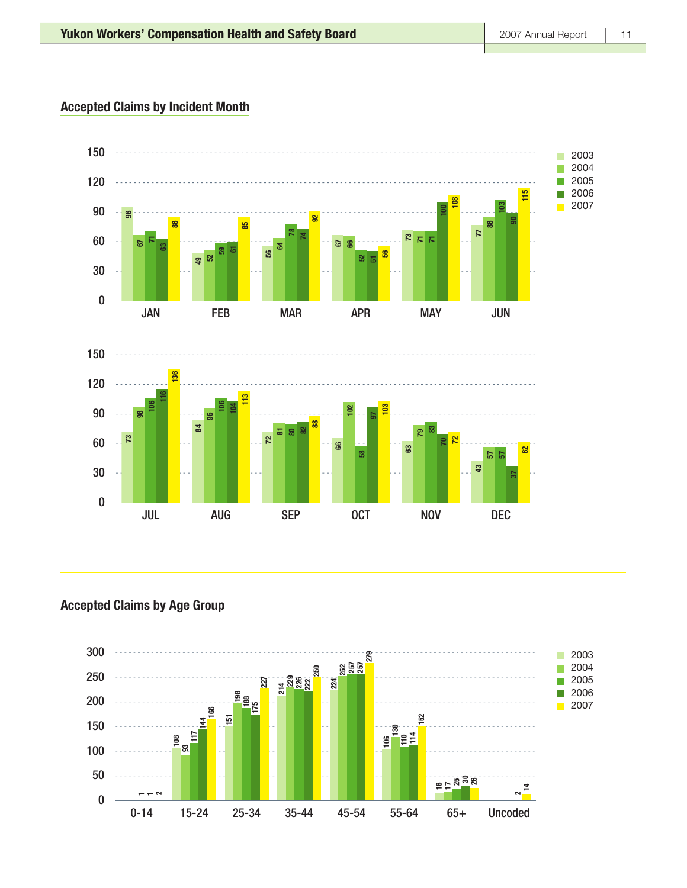### **Accepted Claims by Incident Month**



**Accepted Claims by Age Group** 

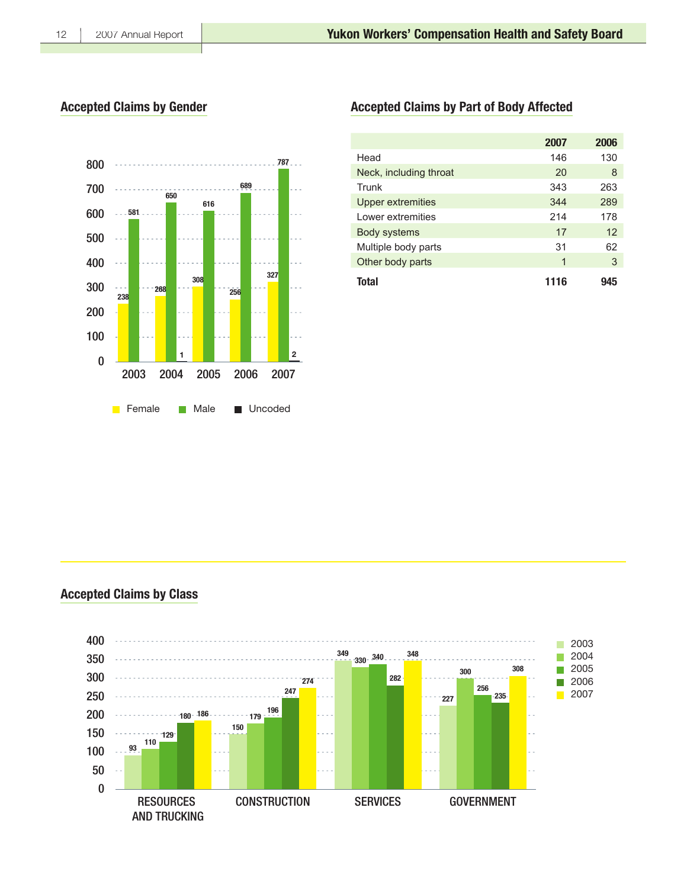### **Accepted Claims by Gender**



## **Accepted Claims by Part of Body Affected**

|                        | 2007 | 2006 |
|------------------------|------|------|
| Head                   | 146  | 130  |
| Neck, including throat | 20   | 8    |
| Trunk                  | 343  | 263  |
| Upper extremities      | 344  | 289  |
| Lower extremities      | 214  | 178  |
| <b>Body systems</b>    | 17   | 12   |
| Multiple body parts    | 31   | 62   |
| Other body parts       | 1    | 3    |
| Total                  | 1116 |      |

### **Accepted Claims by Class**

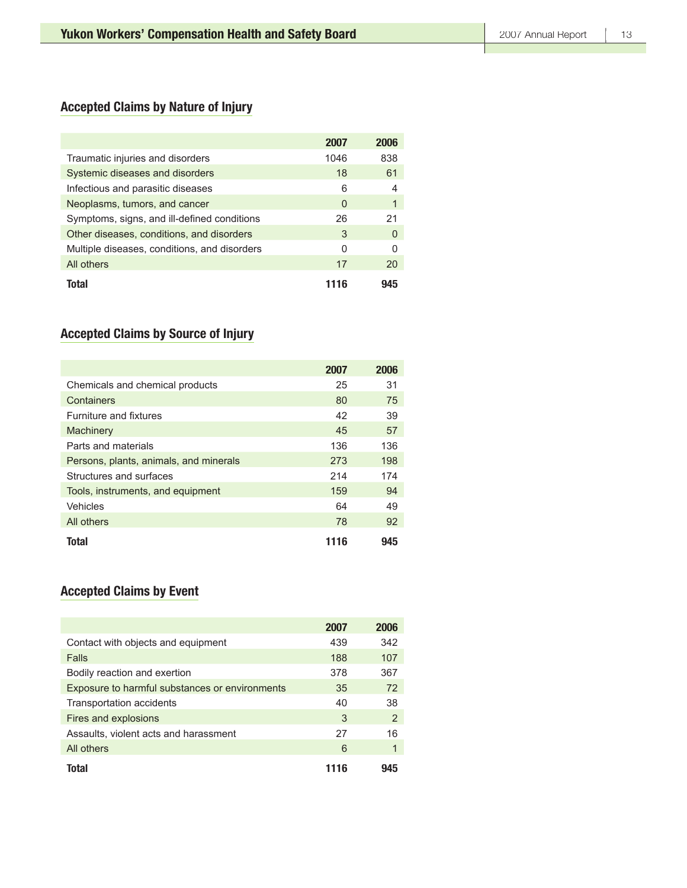## **Accepted Claims by Nature of Injury**

|                                              | 2007 | 2006         |
|----------------------------------------------|------|--------------|
| Traumatic injuries and disorders             | 1046 | 838          |
| Systemic diseases and disorders              | 18   | 61           |
| Infectious and parasitic diseases            | 6    |              |
| Neoplasms, tumors, and cancer                | 0    |              |
| Symptoms, signs, and ill-defined conditions  | 26   | 21           |
| Other diseases, conditions, and disorders    | 3    | <sup>0</sup> |
| Multiple diseases, conditions, and disorders | 0    | U            |
| All others                                   | 17   | 20           |
| Total                                        | 1116 | чдҕ          |

## **Accepted Claims by Source of Injury**

|                                        | 2007 | 2006 |
|----------------------------------------|------|------|
| Chemicals and chemical products        | 25   | 31   |
| Containers                             | 80   | 75   |
| <b>Furniture and fixtures</b>          | 42   | 39   |
| Machinery                              | 45   | 57   |
| Parts and materials                    | 136  | 136  |
| Persons, plants, animals, and minerals | 273  | 198  |
| Structures and surfaces                | 214  | 174  |
| Tools, instruments, and equipment      | 159  | 94   |
| Vehicles                               | 64   | 49   |
| All others                             | 78   | 92   |
| Total                                  | 1116 | 945  |

## **Accepted Claims by Event**

|                                                | 2007 | 2006 |
|------------------------------------------------|------|------|
| Contact with objects and equipment             | 439  | 342  |
| Falls                                          | 188  | 107  |
| Bodily reaction and exertion                   | 378  | 367  |
| Exposure to harmful substances or environments | 35   | 72   |
| Transportation accidents                       | 40   | 38   |
| Fires and explosions                           | 3    | 2    |
| Assaults, violent acts and harassment          | 27   | 16   |
| All others                                     | 6    | 1    |
| Total                                          | 1116 |      |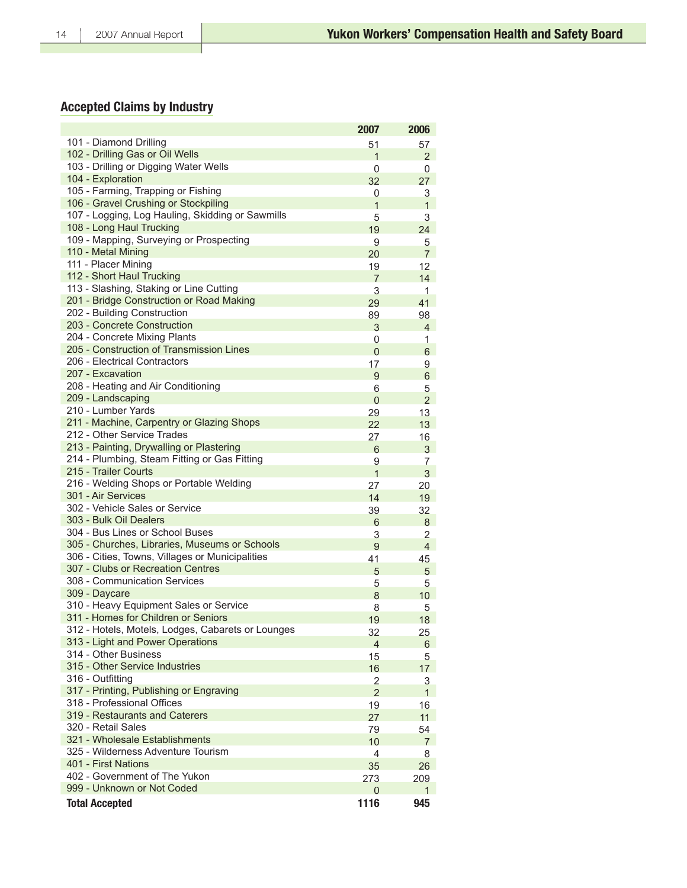## **Accepted Claims by Industry**

|                                                   | 2007           | 2006           |
|---------------------------------------------------|----------------|----------------|
| 101 - Diamond Drilling                            | 51             | 57             |
| 102 - Drilling Gas or Oil Wells                   | $\mathbf{1}$   | $\overline{2}$ |
| 103 - Drilling or Digging Water Wells             | 0              | 0              |
| 104 - Exploration                                 | 32             | 27             |
| 105 - Farming, Trapping or Fishing                | 0              | 3              |
| 106 - Gravel Crushing or Stockpiling              | 1              | $\mathbf{1}$   |
| 107 - Logging, Log Hauling, Skidding or Sawmills  | 5              | 3              |
| 108 - Long Haul Trucking                          | 19             | 24             |
| 109 - Mapping, Surveying or Prospecting           | 9              | 5              |
| 110 - Metal Mining                                | 20             | 7              |
| 111 - Placer Mining                               | 19             | 12             |
| 112 - Short Haul Trucking                         | $\overline{7}$ | 14             |
| 113 - Slashing, Staking or Line Cutting           | 3              | 1              |
| 201 - Bridge Construction or Road Making          | 29             | 41             |
| 202 - Building Construction                       | 89             | 98             |
| 203 - Concrete Construction                       | 3              | 4              |
| 204 - Concrete Mixing Plants                      | 0              | 1              |
| 205 - Construction of Transmission Lines          | $\Omega$       | 6              |
| 206 - Electrical Contractors                      | 17             | 9              |
| 207 - Excavation                                  | 9              | 6              |
| 208 - Heating and Air Conditioning                | 6              | $\overline{5}$ |
| 209 - Landscaping                                 | $\Omega$       | $\overline{2}$ |
| 210 - Lumber Yards                                | 29             | 13             |
| 211 - Machine, Carpentry or Glazing Shops         | 22             | 13             |
| 212 - Other Service Trades                        | 27             | 16             |
| 213 - Painting, Drywalling or Plastering          | 6              | 3              |
| 214 - Plumbing, Steam Fitting or Gas Fitting      | $\overline{9}$ | 7              |
| 215 - Trailer Courts                              | $\mathbf{1}$   | 3              |
| 216 - Welding Shops or Portable Welding           | 27             | 20             |
| 301 - Air Services                                | 14             | 19             |
| 302 - Vehicle Sales or Service                    | 39             | 32             |
| 303 - Bulk Oil Dealers                            | 6              | 8              |
| 304 - Bus Lines or School Buses                   | 3              | $\overline{2}$ |
| 305 - Churches, Libraries, Museums or Schools     | 9              | 4              |
| 306 - Cities, Towns, Villages or Municipalities   | 41             | 45             |
| 307 - Clubs or Recreation Centres                 | 5              | 5              |
| 308 - Communication Services                      | 5              | 5              |
| 309 - Daycare                                     | 8              | 10             |
| 310 - Heavy Equipment Sales or Service            | 8              | 5              |
| 311 - Homes for Children or Seniors               | 19             | 18             |
| 312 - Hotels, Motels, Lodges, Cabarets or Lounges | 32             | 25             |
| 313 - Light and Power Operations                  | 4              | 6              |
| 314 - Other Business                              | 15             | 5              |
| 315 - Other Service Industries                    | 16             | 17             |
| 316 - Outfitting                                  | $\overline{2}$ | 3              |
| 317 - Printing, Publishing or Engraving           | $\overline{2}$ | $\mathbf{1}$   |
| 318 - Professional Offices                        | 19             | 16             |
| 319 - Restaurants and Caterers                    | 27             | 11             |
| 320 - Retail Sales                                | 79             | 54             |
| 321 - Wholesale Establishments                    | 10             | $\overline{7}$ |
| 325 - Wilderness Adventure Tourism                | 4              | 8              |
| 401 - First Nations                               | 35             | 26             |
| 402 - Government of The Yukon                     | 273            | 209            |
| 999 - Unknown or Not Coded                        | 0              | 1              |
| <b>Total Accepted</b>                             | 1116           | 945            |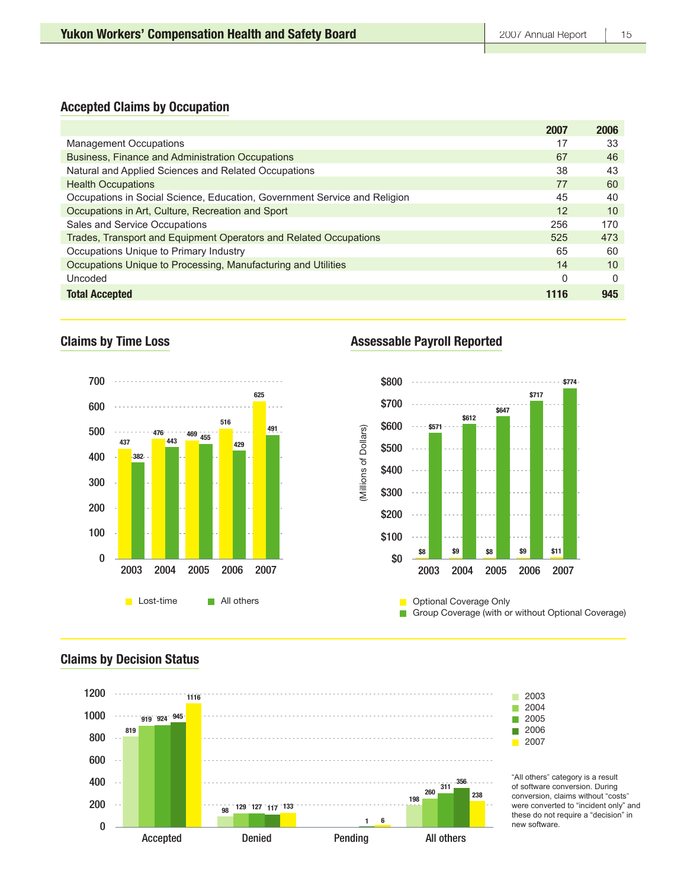### **Accepted Claims by Occupation**

|                                                                           | 2007 | 2006 |
|---------------------------------------------------------------------------|------|------|
| <b>Management Occupations</b>                                             | 17   | 33   |
| Business, Finance and Administration Occupations                          | 67   | 46   |
| Natural and Applied Sciences and Related Occupations                      | 38   | 43   |
| <b>Health Occupations</b>                                                 | 77   | 60   |
| Occupations in Social Science, Education, Government Service and Religion | 45   | 40   |
| Occupations in Art, Culture, Recreation and Sport                         | 12   | 10   |
| Sales and Service Occupations                                             | 256  | 170  |
| Trades, Transport and Equipment Operators and Related Occupations         | 525  | 473  |
| Occupations Unique to Primary Industry                                    | 65   | 60   |
| Occupations Unique to Processing, Manufacturing and Utilities             | 14   | 10   |
| Uncoded                                                                   | 0    | 0    |
| <b>Total Accepted</b>                                                     | 1116 | 945  |

### **Claims by Time Loss**



### **Assessable Payroll Reported**

П



**Optional Coverage Only**  $\blacksquare$ Group Coverage (with or without Optional Coverage)

### **Claims by Decision Status**



"All others" category is a result of software conversion. During conversion, claims without "costs" were converted to "incident only" and these do not require a "decision" in new software.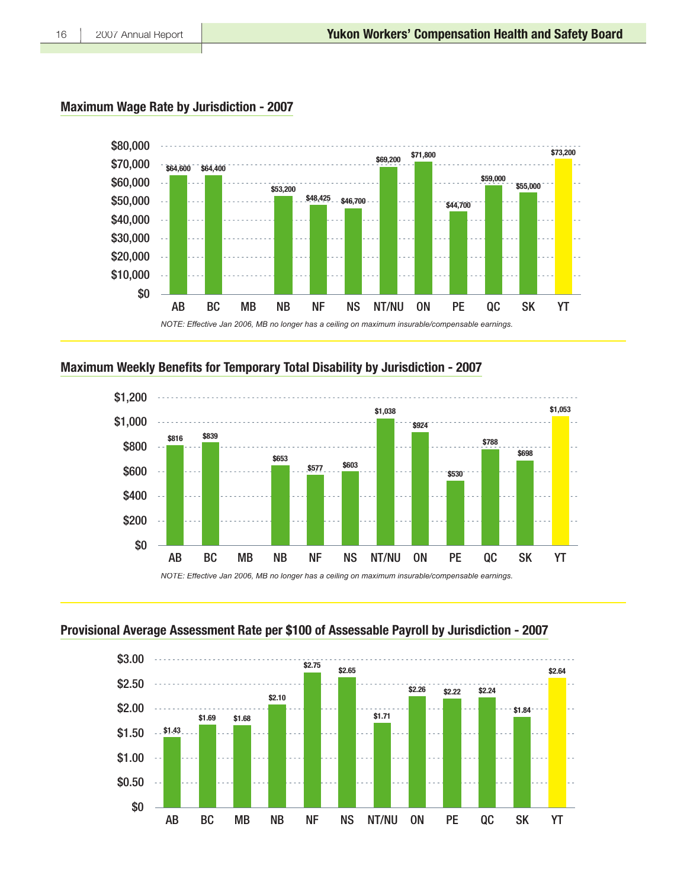### **Maximum Wage Rate by Jurisdiction - 2007**



### Maximum Weekly Benefits for Temporary Total Disability by Jurisdiction - 2007



### Provisional Average Assessment Rate per \$100 of Assessable Payroll by Jurisdiction - 2007

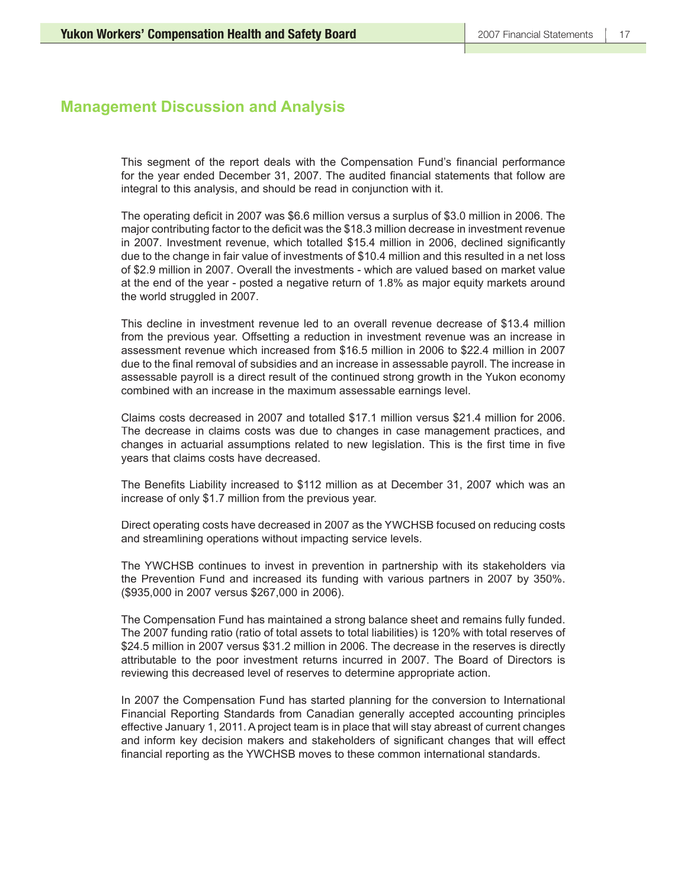## **Management Discussion and Analysis**

This segment of the report deals with the Compensation Fund's financial performance for the year ended December 31, 2007. The audited financial statements that follow are integral to this analysis, and should be read in conjunction with it.

The operating deficit in 2007 was \$6.6 million versus a surplus of \$3.0 million in 2006. The major contributing factor to the deficit was the \$18.3 million decrease in investment revenue in 2007. Investment revenue, which totalled \$15.4 million in 2006, declined significantly due to the change in fair value of investments of \$10.4 million and this resulted in a net loss of \$2.9 million in 2007. Overall the investments - which are valued based on market value at the end of the year - posted a negative return of 1.8% as major equity markets around the world struggled in 2007.

This decline in investment revenue led to an overall revenue decrease of \$13.4 million from the previous year. Offsetting a reduction in investment revenue was an increase in assessment revenue which increased from \$16.5 million in 2006 to \$22.4 million in 2007 due to the final removal of subsidies and an increase in assessable payroll. The increase in assessable payroll is a direct result of the continued strong growth in the Yukon economy combined with an increase in the maximum assessable earnings level.

Claims costs decreased in 2007 and totalled \$17.1 million versus \$21.4 million for 2006. The decrease in claims costs was due to changes in case management practices, and changes in actuarial assumptions related to new legislation. This is the first time in five years that claims costs have decreased.

The Benefits Liability increased to \$112 million as at December 31, 2007 which was an increase of only \$1.7 million from the previous year.

Direct operating costs have decreased in 2007 as the YWCHSB focused on reducing costs and streamlining operations without impacting service levels.

The YWCHSB continues to invest in prevention in partnership with its stakeholders via the Prevention Fund and increased its funding with various partners in 2007 by 350%. (\$935,000 in 2007 versus \$267,000 in 2006).

The Compensation Fund has maintained a strong balance sheet and remains fully funded. The 2007 funding ratio (ratio of total assets to total liabilities) is 120% with total reserves of \$24.5 million in 2007 versus \$31.2 million in 2006. The decrease in the reserves is directly attributable to the poor investment returns incurred in 2007. The Board of Directors is reviewing this decreased level of reserves to determine appropriate action.

In 2007 the Compensation Fund has started planning for the conversion to International Financial Reporting Standards from Canadian generally accepted accounting principles effective January 1, 2011. A project team is in place that will stay abreast of current changes and inform key decision makers and stakeholders of significant changes that will effect financial reporting as the YWCHSB moves to these common international standards.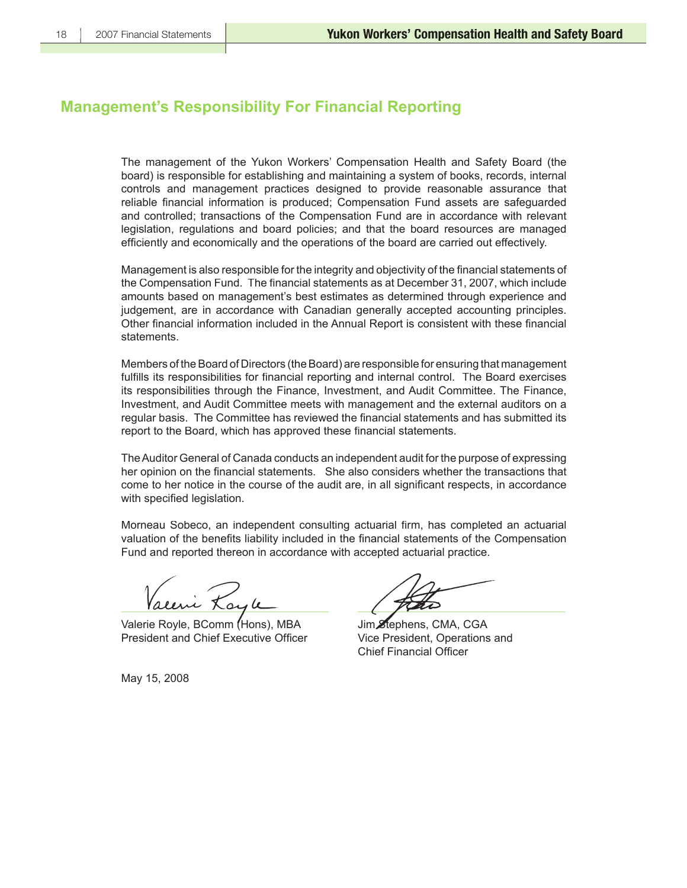## **Management's Responsibility For Financial Reporting**

The management of the Yukon Workers' Compensation Health and Safety Board (the board) is responsible for establishing and maintaining a system of books, records, internal controls and management practices designed to provide reasonable assurance that reliable financial information is produced; Compensation Fund assets are safeguarded and controlled; transactions of the Compensation Fund are in accordance with relevant legislation, regulations and board policies; and that the board resources are managed efficiently and economically and the operations of the board are carried out effectively.

Management is also responsible for the integrity and objectivity of the financial statements of the Compensation Fund. The financial statements as at December 31, 2007, which include amounts based on management's best estimates as determined through experience and judgement, are in accordance with Canadian generally accepted accounting principles. Other financial information included in the Annual Report is consistent with these financial statements.

Members of the Board of Directors (the Board) are responsible for ensuring that management fulfills its responsibilities for financial reporting and internal control. The Board exercises its responsibilities through the Finance, Investment, and Audit Committee. The Finance, Investment, and Audit Committee meets with management and the external auditors on a regular basis. The Committee has reviewed the financial statements and has submitted its report to the Board, which has approved these financial statements.

The Auditor General of Canada conducts an independent audit for the purpose of expressing her opinion on the financial statements. She also considers whether the transactions that come to her notice in the course of the audit are, in all significant respects, in accordance with specified legislation.

Morneau Sobeco, an independent consulting actuarial firm, has completed an actuarial valuation of the benefits liability included in the financial statements of the Compensation Fund and reported thereon in accordance with accepted actuarial practice.

Valeni Xoyle

Valerie Royle, BComm (Hons), MBA Jim Stephens, CMA, CGA President and Chief Executive Officer Vice President, Operations and

Chief Financial Officer

May 15, 2008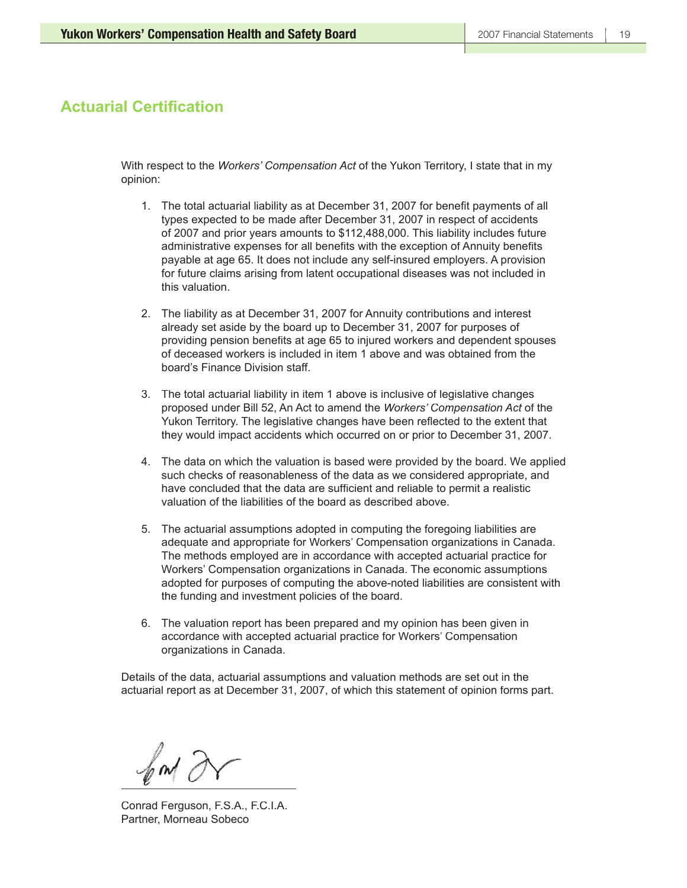## **Actuarial Certification**

With respect to the *Workers' Compensation Act* of the Yukon Territory, I state that in my opinion:

- 1. The total actuarial liability as at December 31, 2007 for benefit payments of all types expected to be made after December 31, 2007 in respect of accidents of 2007 and prior years amounts to \$112,488,000. This liability includes future administrative expenses for all benefits with the exception of Annuity benefits payable at age 65. It does not include any self-insured employers. A provision for future claims arising from latent occupational diseases was not included in this valuation.
- 2. The liability as at December 31, 2007 for Annuity contributions and interest already set aside by the board up to December 31, 2007 for purposes of providing pension benefits at age 65 to injured workers and dependent spouses of deceased workers is included in item 1 above and was obtained from the board's Finance Division staff.
- 3. The total actuarial liability in item 1 above is inclusive of legislative changes proposed under Bill 52, An Act to amend the *Workers' Compensation Act* of the Yukon Territory. The legislative changes have been reflected to the extent that they would impact accidents which occurred on or prior to December 31, 2007.
- 4. The data on which the valuation is based were provided by the board. We applied such checks of reasonableness of the data as we considered appropriate, and have concluded that the data are sufficient and reliable to permit a realistic valuation of the liabilities of the board as described above.
- 5. The actuarial assumptions adopted in computing the foregoing liabilities are adequate and appropriate for Workers' Compensation organizations in Canada. The methods employed are in accordance with accepted actuarial practice for Workers' Compensation organizations in Canada. The economic assumptions adopted for purposes of computing the above-noted liabilities are consistent with the funding and investment policies of the board.
- 6. The valuation report has been prepared and my opinion has been given in accordance with accepted actuarial practice for Workers' Compensation organizations in Canada.

Details of the data, actuarial assumptions and valuation methods are set out in the actuarial report as at December 31, 2007, of which this statement of opinion forms part.

 $\ell$  and  $\ell$  and  $\ell$ 

Conrad Ferguson, F.S.A., F.C.I.A. Partner, Morneau Sobeco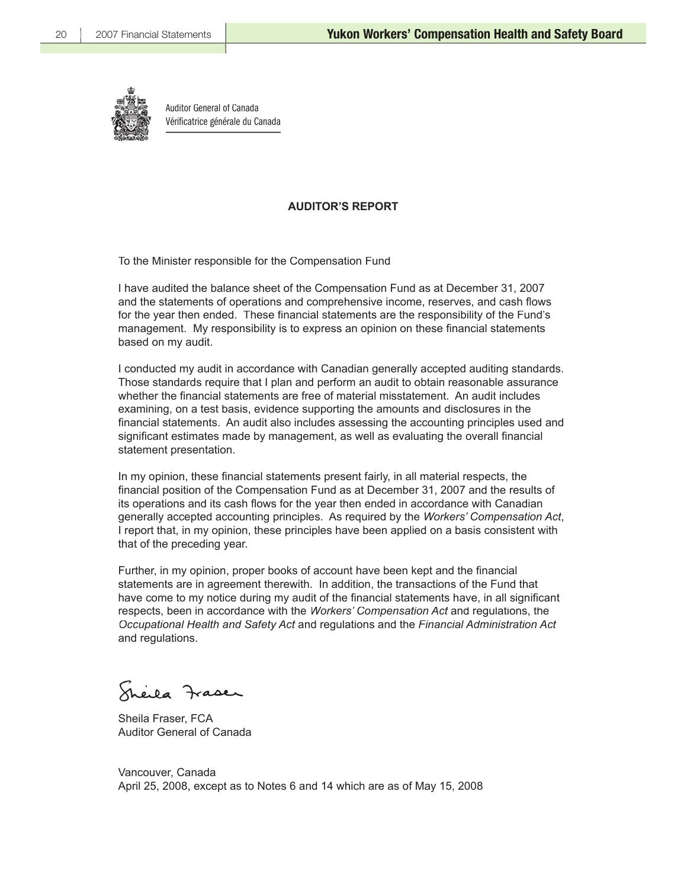

Auditor General of Canada Vérificatrice générale du Canada

### **AUDITOR'S REPORT**

To the Minister responsible for the Compensation Fund

I have audited the balance sheet of the Compensation Fund as at December 31, 2007 and the statements of operations and comprehensive income, reserves, and cash flows for the year then ended. These financial statements are the responsibility of the Fund's management. My responsibility is to express an opinion on these financial statements based on my audit.

I conducted my audit in accordance with Canadian generally accepted auditing standards. Those standards require that I plan and perform an audit to obtain reasonable assurance whether the financial statements are free of material misstatement. An audit includes examining, on a test basis, evidence supporting the amounts and disclosures in the financial statements. An audit also includes assessing the accounting principles used and significant estimates made by management, as well as evaluating the overall financial statement presentation.

In my opinion, these financial statements present fairly, in all material respects, the financial position of the Compensation Fund as at December 31, 2007 and the results of its operations and its cash flows for the year then ended in accordance with Canadian generally accepted accounting principles. As required by the *Workers' Compensation Act*, I report that, in my opinion, these principles have been applied on a basis consistent with that of the preceding year.

Further, in my opinion, proper books of account have been kept and the financial statements are in agreement therewith. In addition, the transactions of the Fund that have come to my notice during my audit of the financial statements have, in all significant respects, been in accordance with the *Workers' Compensation Act* and regulations, the *Occupational Health and Safety Act* and regulations and the *Financial Administration Act* and regulations.

eila Fraser

Sheila Fraser, FCA Auditor General of Canada

Vancouver, Canada April 25, 2008, except as to Notes 6 and 14 which are as of May 15, 2008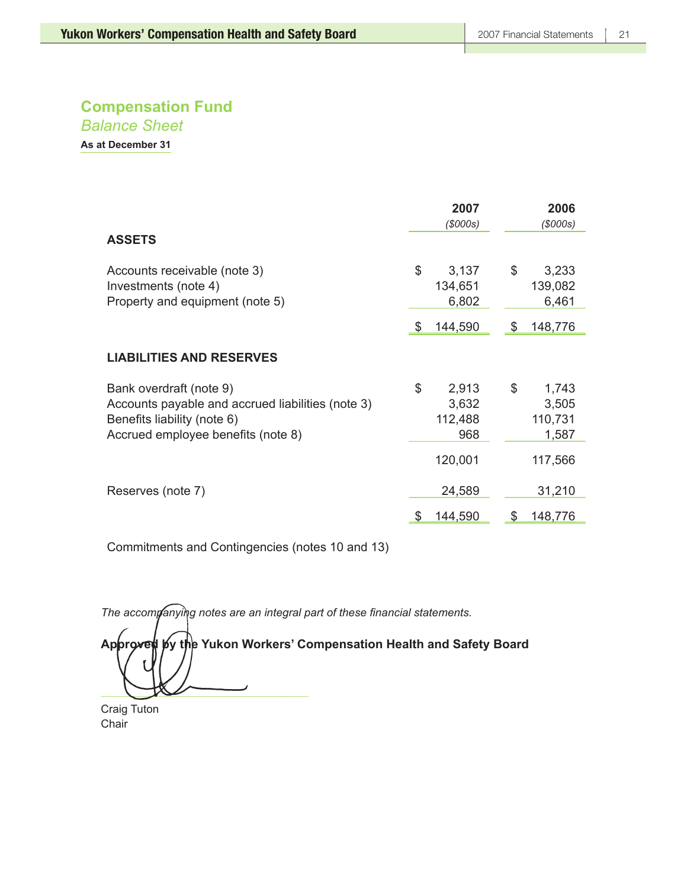*Balance Sheet*

**As at December 31**

|                                                                                                                                                   |          | 2007<br>(S000s)                      |             | 2006<br>(S000s)                      |
|---------------------------------------------------------------------------------------------------------------------------------------------------|----------|--------------------------------------|-------------|--------------------------------------|
| <b>ASSETS</b>                                                                                                                                     |          |                                      |             |                                      |
| Accounts receivable (note 3)<br>Investments (note 4)<br>Property and equipment (note 5)                                                           | \$<br>\$ | 3,137<br>134,651<br>6,802<br>144,590 | $\$\$<br>\$ | 3,233<br>139,082<br>6,461<br>148,776 |
| <b>LIABILITIES AND RESERVES</b>                                                                                                                   |          |                                      |             |                                      |
| Bank overdraft (note 9)<br>Accounts payable and accrued liabilities (note 3)<br>Benefits liability (note 6)<br>Accrued employee benefits (note 8) | \$       | 2,913<br>3,632<br>112,488<br>968     | \$          | 1,743<br>3,505<br>110,731<br>1,587   |
| Reserves (note 7)                                                                                                                                 |          | 120,001<br>24,589                    |             | 117,566<br>31,210                    |
|                                                                                                                                                   | \$       | 144,590                              |             | 148,776                              |

Commitments and Contingencies (notes 10 and 13)

The accompanying notes are an integral part of these financial statements.

Approved by the Yukon Workers' Compensation Health and Safety Board

 $\bigcup_{i=1}^n$ 

Craig Tuton Chair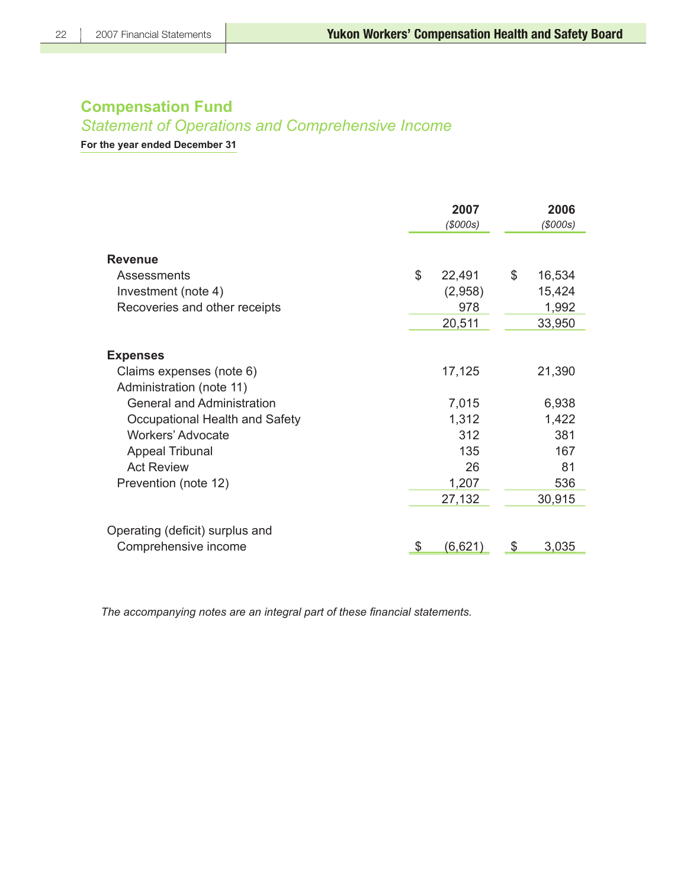## *Statement of Operations and Comprehensive Income*

**For the year ended December 31**

|                                                      | 2007<br>(S000s) | 2006<br>(S000s) |
|------------------------------------------------------|-----------------|-----------------|
| <b>Revenue</b>                                       |                 |                 |
| Assessments                                          | \$<br>22,491    | \$<br>16,534    |
| Investment (note 4)                                  | (2,958)         | 15,424          |
| Recoveries and other receipts                        | 978             | 1,992           |
|                                                      | 20,511          | 33,950          |
| <b>Expenses</b>                                      |                 |                 |
| Claims expenses (note 6)<br>Administration (note 11) | 17,125          | 21,390          |
| <b>General and Administration</b>                    | 7,015           | 6,938           |
| Occupational Health and Safety                       | 1,312           | 1,422           |
| Workers' Advocate                                    | 312             | 381             |
| <b>Appeal Tribunal</b>                               | 135             | 167             |
| <b>Act Review</b>                                    | 26              | 81              |
| Prevention (note 12)                                 | 1,207           | 536             |
|                                                      | 27,132          | 30,915          |
| Operating (deficit) surplus and                      |                 |                 |
| Comprehensive income                                 | (6,621)<br>\$   | 3,035<br>\$     |

The accompanying notes are an integral part of these financial statements.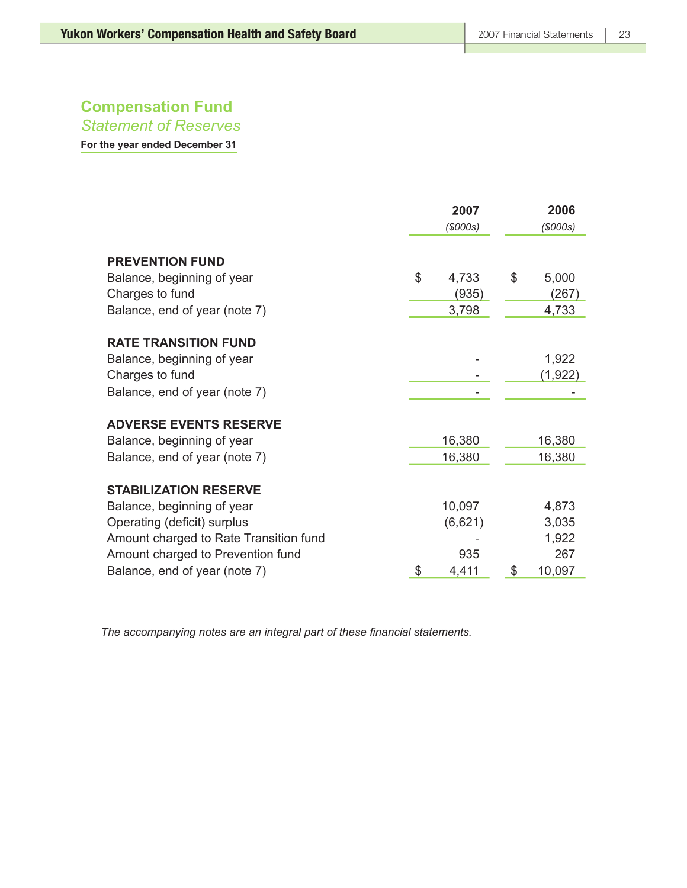*Statement of Reserves*

**For the year ended December 31**

|                                                      | 2007<br>(S000s) | 2006<br>(S000s) |
|------------------------------------------------------|-----------------|-----------------|
| <b>PREVENTION FUND</b><br>Balance, beginning of year | \$<br>4,733     | \$<br>5,000     |
| Charges to fund                                      | (935)           | (267)           |
| Balance, end of year (note 7)                        | 3,798           | 4,733           |
| <b>RATE TRANSITION FUND</b>                          |                 |                 |
| Balance, beginning of year                           |                 | 1,922           |
| Charges to fund                                      |                 | (1, 922)        |
| Balance, end of year (note 7)                        |                 |                 |
| <b>ADVERSE EVENTS RESERVE</b>                        |                 |                 |
| Balance, beginning of year                           | 16,380          | 16,380          |
| Balance, end of year (note 7)                        | 16,380          | 16,380          |
| <b>STABILIZATION RESERVE</b>                         |                 |                 |
| Balance, beginning of year                           | 10,097          | 4,873           |
| Operating (deficit) surplus                          | (6,621)         | 3,035           |
| Amount charged to Rate Transition fund               |                 | 1,922           |
| Amount charged to Prevention fund                    | 935             | 267             |
| Balance, end of year (note 7)                        | \$<br>4,411     | \$<br>10,097    |

The accompanying notes are an integral part of these financial statements.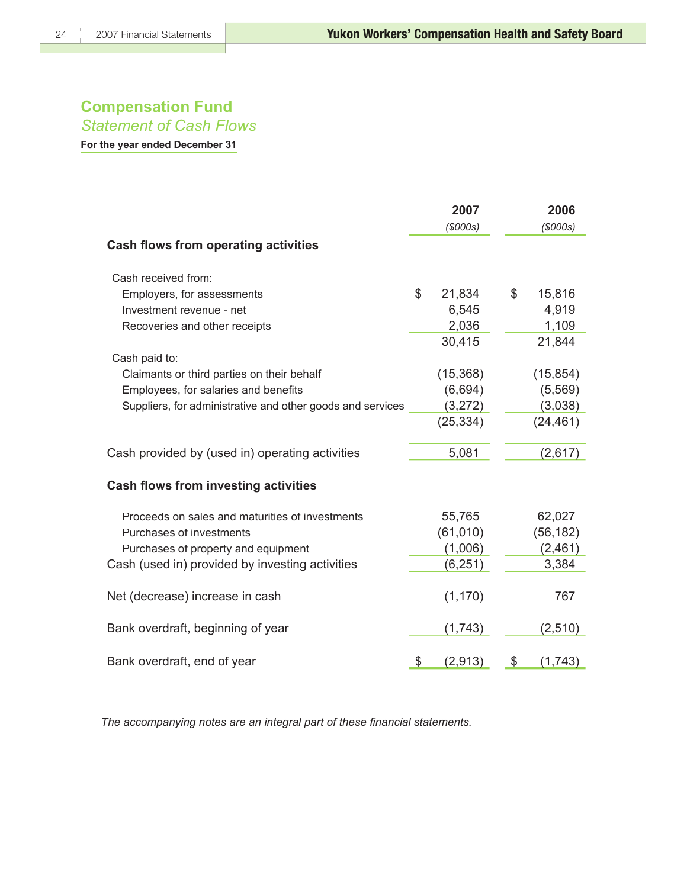## **Compensation Fund** *Statement of Cash Flows*

**For the year ended December 31**

|                                                            | 2007<br>(S000s) | 2006<br>(S000s) |
|------------------------------------------------------------|-----------------|-----------------|
| <b>Cash flows from operating activities</b>                |                 |                 |
| Cash received from:                                        |                 |                 |
| Employers, for assessments                                 | \$<br>21,834    | \$<br>15,816    |
| Investment revenue - net                                   | 6,545           | 4,919           |
| Recoveries and other receipts                              | 2,036           | 1,109           |
|                                                            | 30,415          | 21,844          |
| Cash paid to:                                              |                 |                 |
| Claimants or third parties on their behalf                 | (15, 368)       | (15, 854)       |
| Employees, for salaries and benefits                       | (6,694)         | (5, 569)        |
| Suppliers, for administrative and other goods and services | (3,272)         | (3,038)         |
|                                                            | (25, 334)       | (24, 461)       |
| Cash provided by (used in) operating activities            | 5,081           | (2,617)         |
| <b>Cash flows from investing activities</b>                |                 |                 |
| Proceeds on sales and maturities of investments            | 55,765          | 62,027          |
| Purchases of investments                                   | (61, 010)       | (56, 182)       |
| Purchases of property and equipment                        | (1,006)         | (2,461)         |
| Cash (used in) provided by investing activities            | (6, 251)        | 3,384           |
| Net (decrease) increase in cash                            | (1, 170)        | 767             |
| Bank overdraft, beginning of year                          | (1,743)         | (2,510)         |
| Bank overdraft, end of year                                | \$<br>(2,913)   | \$<br>(1,743)   |

The accompanying notes are an integral part of these financial statements.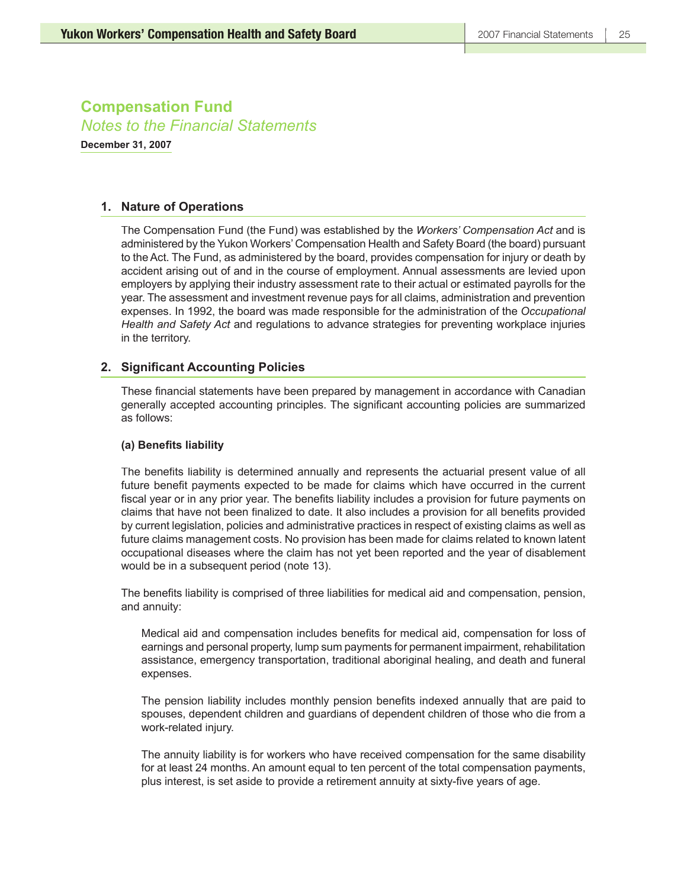**December 31, 2007**

### **1. Nature of Operations**

The Compensation Fund (the Fund) was established by the *Workers' Compensation Act* and is administered by the Yukon Workers' Compensation Health and Safety Board (the board) pursuant to the Act. The Fund, as administered by the board, provides compensation for injury or death by accident arising out of and in the course of employment. Annual assessments are levied upon employers by applying their industry assessment rate to their actual or estimated payrolls for the year. The assessment and investment revenue pays for all claims, administration and prevention expenses. In 1992, the board was made responsible for the administration of the *Occupational Health and Safety Act* and regulations to advance strategies for preventing workplace injuries in the territory.

### **2. Significant Accounting Policies**

These financial statements have been prepared by management in accordance with Canadian generally accepted accounting principles. The significant accounting policies are summarized as follows:

### (a) Benefits liability

The benefits liability is determined annually and represents the actuarial present value of all future benefit payments expected to be made for claims which have occurred in the current fiscal year or in any prior year. The benefits liability includes a provision for future payments on claims that have not been finalized to date. It also includes a provision for all benefits provided by current legislation, policies and administrative practices in respect of existing claims as well as future claims management costs. No provision has been made for claims related to known latent occupational diseases where the claim has not yet been reported and the year of disablement would be in a subsequent period (note 13).

The benefits liability is comprised of three liabilities for medical aid and compensation, pension, and annuity:

Medical aid and compensation includes benefits for medical aid, compensation for loss of earnings and personal property, lump sum payments for permanent impairment, rehabilitation assistance, emergency transportation, traditional aboriginal healing, and death and funeral expenses.

The pension liability includes monthly pension benefits indexed annually that are paid to spouses, dependent children and guardians of dependent children of those who die from a work-related injury.

The annuity liability is for workers who have received compensation for the same disability for at least 24 months. An amount equal to ten percent of the total compensation payments, plus interest, is set aside to provide a retirement annuity at sixty-five years of age.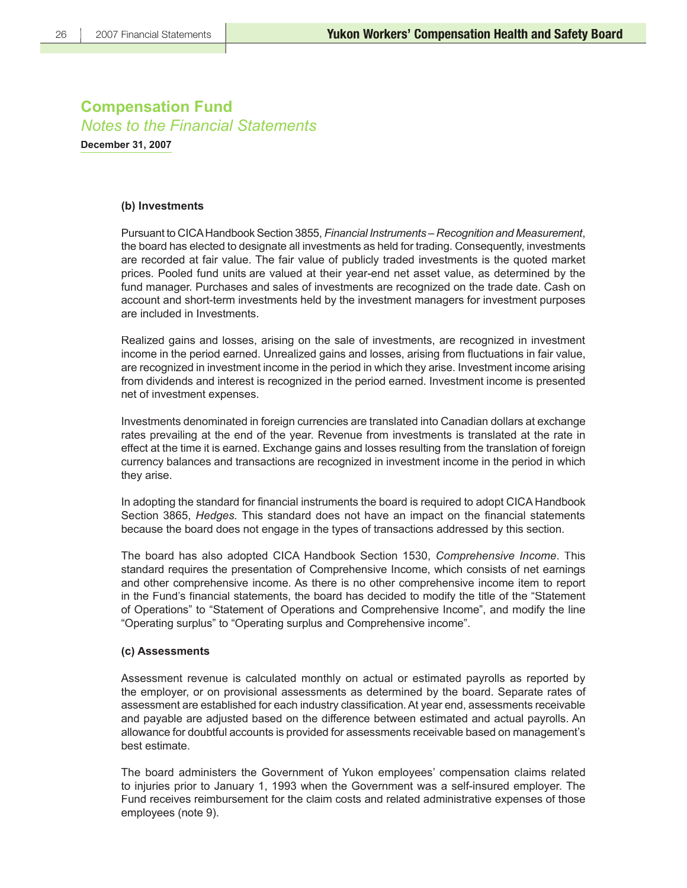**December 31, 2007**

### **(b) Investments**

Pursuant to CICA Handbook Section 3855, *Financial Instruments – Recognition and Measurement*, the board has elected to designate all investments as held for trading. Consequently, investments are recorded at fair value. The fair value of publicly traded investments is the quoted market prices. Pooled fund units are valued at their year-end net asset value, as determined by the fund manager. Purchases and sales of investments are recognized on the trade date. Cash on account and short-term investments held by the investment managers for investment purposes are included in Investments.

Realized gains and losses, arising on the sale of investments, are recognized in investment income in the period earned. Unrealized gains and losses, arising from fluctuations in fair value, are recognized in investment income in the period in which they arise. Investment income arising from dividends and interest is recognized in the period earned. Investment income is presented net of investment expenses.

Investments denominated in foreign currencies are translated into Canadian dollars at exchange rates prevailing at the end of the year. Revenue from investments is translated at the rate in effect at the time it is earned. Exchange gains and losses resulting from the translation of foreign currency balances and transactions are recognized in investment income in the period in which they arise.

In adopting the standard for financial instruments the board is required to adopt CICA Handbook Section 3865, *Hedges*. This standard does not have an impact on the financial statements because the board does not engage in the types of transactions addressed by this section.

The board has also adopted CICA Handbook Section 1530, *Comprehensive Income*. This standard requires the presentation of Comprehensive Income, which consists of net earnings and other comprehensive income. As there is no other comprehensive income item to report in the Fund's financial statements, the board has decided to modify the title of the "Statement of Operations" to "Statement of Operations and Comprehensive Income", and modify the line "Operating surplus" to "Operating surplus and Comprehensive income".

### **(c) Assessments**

Assessment revenue is calculated monthly on actual or estimated payrolls as reported by the employer, or on provisional assessments as determined by the board. Separate rates of assessment are established for each industry classification. At year end, assessments receivable and payable are adjusted based on the difference between estimated and actual payrolls. An allowance for doubtful accounts is provided for assessments receivable based on management's best estimate.

The board administers the Government of Yukon employees' compensation claims related to injuries prior to January 1, 1993 when the Government was a self-insured employer. The Fund receives reimbursement for the claim costs and related administrative expenses of those employees (note 9).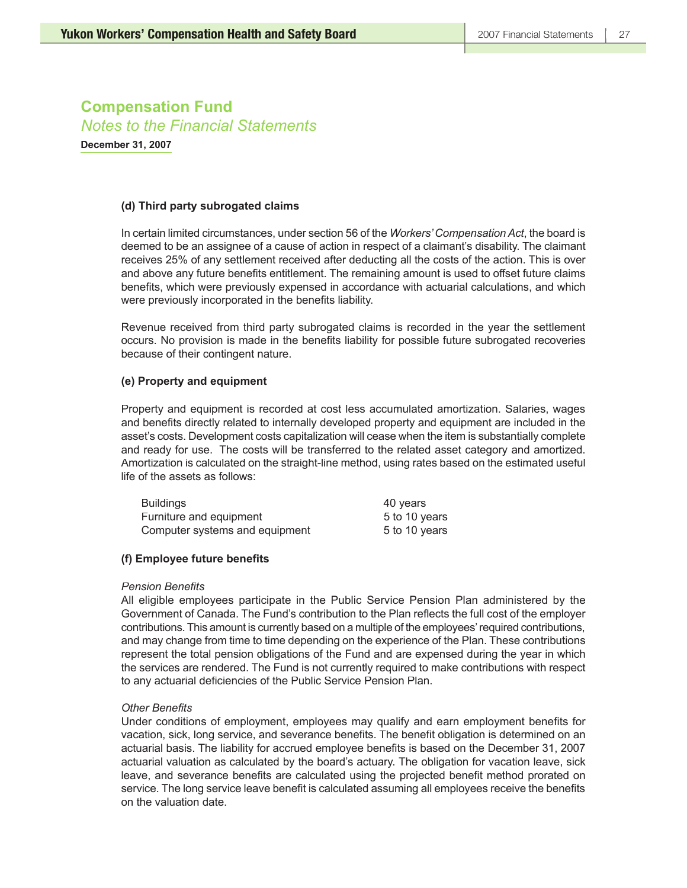**December 31, 2007**

### **(d) Third party subrogated claims**

In certain limited circumstances, under section 56 of the *Workers' Compensation Act*, the board is deemed to be an assignee of a cause of action in respect of a claimant's disability. The claimant receives 25% of any settlement received after deducting all the costs of the action. This is over and above any future benefits entitlement. The remaining amount is used to offset future claims benefits, which were previously expensed in accordance with actuarial calculations, and which were previously incorporated in the benefits liability.

Revenue received from third party subrogated claims is recorded in the year the settlement occurs. No provision is made in the benefits liability for possible future subrogated recoveries because of their contingent nature.

### **(e) Property and equipment**

Property and equipment is recorded at cost less accumulated amortization. Salaries, wages and benefits directly related to internally developed property and equipment are included in the asset's costs. Development costs capitalization will cease when the item is substantially complete and ready for use. The costs will be transferred to the related asset category and amortized. Amortization is calculated on the straight-line method, using rates based on the estimated useful life of the assets as follows:

| <b>Buildings</b>               | 40 years      |
|--------------------------------|---------------|
| Furniture and equipment        | 5 to 10 years |
| Computer systems and equipment | 5 to 10 years |

### **(f) Employee future benefits**

### **Pension Benefits**

All eligible employees participate in the Public Service Pension Plan administered by the Government of Canada. The Fund's contribution to the Plan reflects the full cost of the employer contributions. This amount is currently based on a multiple of the employees' required contributions, and may change from time to time depending on the experience of the Plan. These contributions represent the total pension obligations of the Fund and are expensed during the year in which the services are rendered. The Fund is not currently required to make contributions with respect to any actuarial deficiencies of the Public Service Pension Plan.

### **Other Benefits**

Under conditions of employment, employees may qualify and earn employment benefits for vacation, sick, long service, and severance benefits. The benefit obligation is determined on an actuarial basis. The liability for accrued employee benefits is based on the December 31, 2007 actuarial valuation as calculated by the board's actuary. The obligation for vacation leave, sick leave, and severance benefits are calculated using the projected benefit method prorated on service. The long service leave benefit is calculated assuming all employees receive the benefits on the valuation date.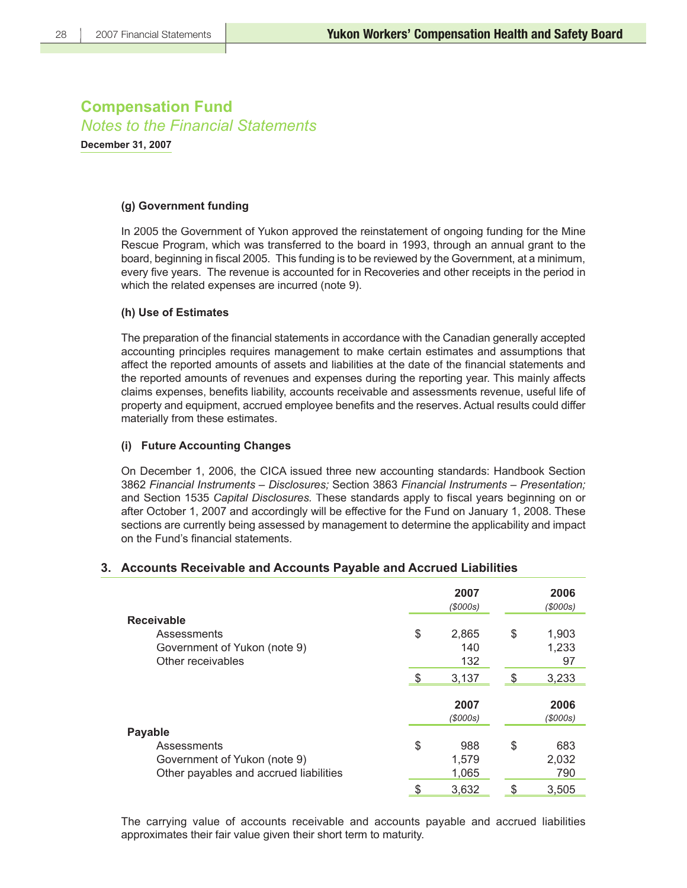**December 31, 2007**

### **(g) Government funding**

In 2005 the Government of Yukon approved the reinstatement of ongoing funding for the Mine Rescue Program, which was transferred to the board in 1993, through an annual grant to the board, beginning in fiscal 2005. This funding is to be reviewed by the Government, at a minimum, every five years. The revenue is accounted for in Recoveries and other receipts in the period in which the related expenses are incurred (note 9).

### **(h) Use of Estimates**

The preparation of the financial statements in accordance with the Canadian generally accepted accounting principles requires management to make certain estimates and assumptions that affect the reported amounts of assets and liabilities at the date of the financial statements and the reported amounts of revenues and expenses during the reporting year. This mainly affects claims expenses, benefits liability, accounts receivable and assessments revenue, useful life of property and equipment, accrued employee benefits and the reserves. Actual results could differ materially from these estimates.

### **(i) Future Accounting Changes**

On December 1, 2006, the CICA issued three new accounting standards: Handbook Section 3862 *Financial Instruments – Disclosures;* Section 3863 *Financial Instruments – Presentation;*  and Section 1535 *Capital Disclosures*. These standards apply to fiscal years beginning on or after October 1, 2007 and accordingly will be effective for the Fund on January 1, 2008. These sections are currently being assessed by management to determine the applicability and impact on the Fund's financial statements.

### **3. Accounts Receivable and Accounts Payable and Accrued Liabilities**

|                                        | 2007<br>(S000s) |      | 2006<br>(\$000s) |
|----------------------------------------|-----------------|------|------------------|
| <b>Receivable</b>                      |                 |      |                  |
| Assessments                            | \$<br>2,865     | \$   | 1,903            |
| Government of Yukon (note 9)           | 140             |      | 1,233            |
| Other receivables                      | 132             |      | 97               |
|                                        | \$<br>3,137     | - \$ | 3,233            |
|                                        | 2007<br>(S000s) |      | 2006<br>(\$000s) |
| <b>Payable</b>                         |                 |      |                  |
| Assessments                            | \$<br>988       | \$   | 683              |
| Government of Yukon (note 9)           | 1,579           |      | 2,032            |
| Other payables and accrued liabilities | 1,065           |      | 790              |
|                                        | \$<br>3,632     | \$   | 3,505            |

The carrying value of accounts receivable and accounts payable and accrued liabilities approximates their fair value given their short term to maturity.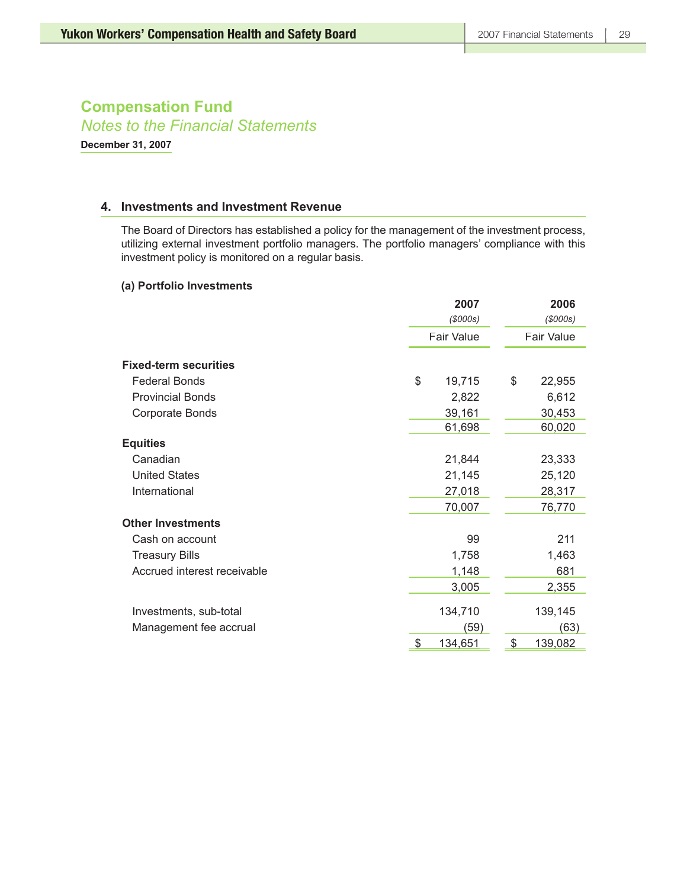*Notes to the Financial Statements*

**December 31, 2007**

### **4. Investments and Investment Revenue**

The Board of Directors has established a policy for the management of the investment process, utilizing external investment portfolio managers. The portfolio managers' compliance with this investment policy is monitored on a regular basis.

### **(a) Portfolio Investments**

|                              | 2007<br>(S000s)   | 2006<br>(S000s)   |
|------------------------------|-------------------|-------------------|
|                              | <b>Fair Value</b> | <b>Fair Value</b> |
| <b>Fixed-term securities</b> |                   |                   |
| <b>Federal Bonds</b>         | \$<br>19,715      | \$<br>22,955      |
| <b>Provincial Bonds</b>      | 2,822             | 6,612             |
| Corporate Bonds              | 39,161            | 30,453            |
|                              | 61,698            | 60,020            |
| <b>Equities</b>              |                   |                   |
| Canadian                     | 21,844            | 23,333            |
| <b>United States</b>         | 21,145            | 25,120            |
| International                | 27,018            | 28,317            |
|                              | 70,007            | 76,770            |
| <b>Other Investments</b>     |                   |                   |
| Cash on account              | 99                | 211               |
| <b>Treasury Bills</b>        | 1,758             | 1,463             |
| Accrued interest receivable  | 1,148             | 681               |
|                              | 3,005             | 2,355             |
| Investments, sub-total       | 134,710           | 139,145           |
| Management fee accrual       | (59)              | (63)              |
|                              | \$<br>134,651     | \$<br>139,082     |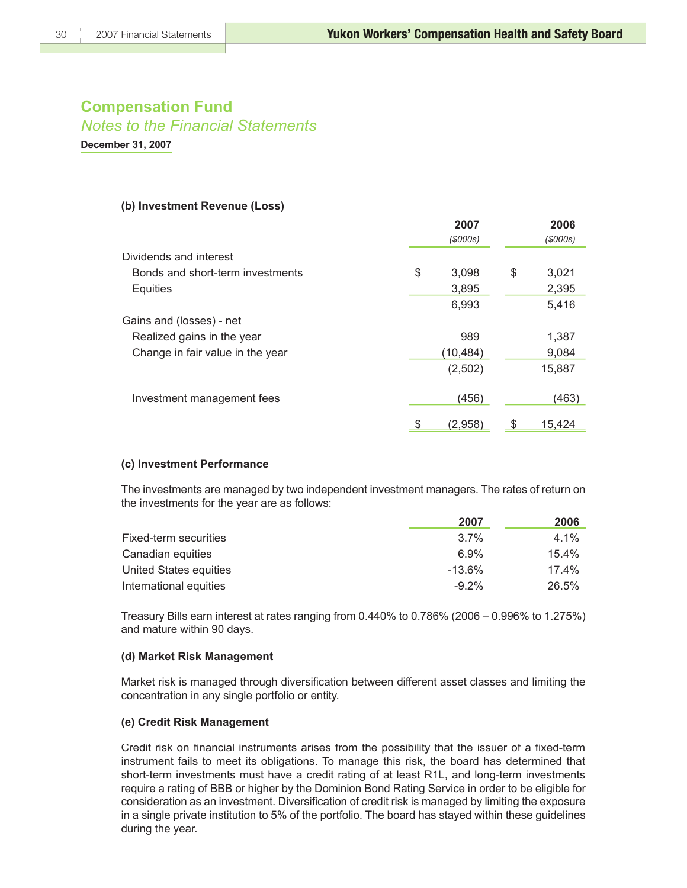*Notes to the Financial Statements*

**December 31, 2007**

### **(b) Investment Revenue (Loss)**

|                                  | 2007          |   | 2006    |
|----------------------------------|---------------|---|---------|
|                                  | (S000s)       |   | (S000s) |
| Dividends and interest           |               |   |         |
| Bonds and short-term investments | \$<br>3,098   | S | 3,021   |
| Equities                         | 3,895         |   | 2,395   |
|                                  | 6,993         |   | 5,416   |
| Gains and (losses) - net         |               |   |         |
| Realized gains in the year       | 989           |   | 1,387   |
| Change in fair value in the year | (10,484)      |   | 9,084   |
|                                  | (2,502)       |   | 15,887  |
| Investment management fees       | (456)         |   | (463)   |
|                                  | \$<br>(2,958) | S | 15.424  |

### **(c) Investment Performance**

The investments are managed by two independent investment managers. The rates of return on the investments for the year are as follows:

|                        | 2007      | 2006     |
|------------------------|-----------|----------|
| Fixed-term securities  | $3.7\%$   | $4.1\%$  |
| Canadian equities      | 6.9%      | 15.4%    |
| United States equities | $-13.6\%$ | $17.4\%$ |
| International equities | $-9.2\%$  | 26.5%    |

Treasury Bills earn interest at rates ranging from 0.440% to 0.786% (2006 – 0.996% to 1.275%) and mature within 90 days.

### **(d) Market Risk Management**

Market risk is managed through diversification between different asset classes and limiting the concentration in any single portfolio or entity.

### **(e) Credit Risk Management**

Credit risk on financial instruments arises from the possibility that the issuer of a fixed-term instrument fails to meet its obligations. To manage this risk, the board has determined that short-term investments must have a credit rating of at least R1L, and long-term investments require a rating of BBB or higher by the Dominion Bond Rating Service in order to be eligible for consideration as an investment. Diversification of credit risk is managed by limiting the exposure in a single private institution to 5% of the portfolio. The board has stayed within these guidelines during the year.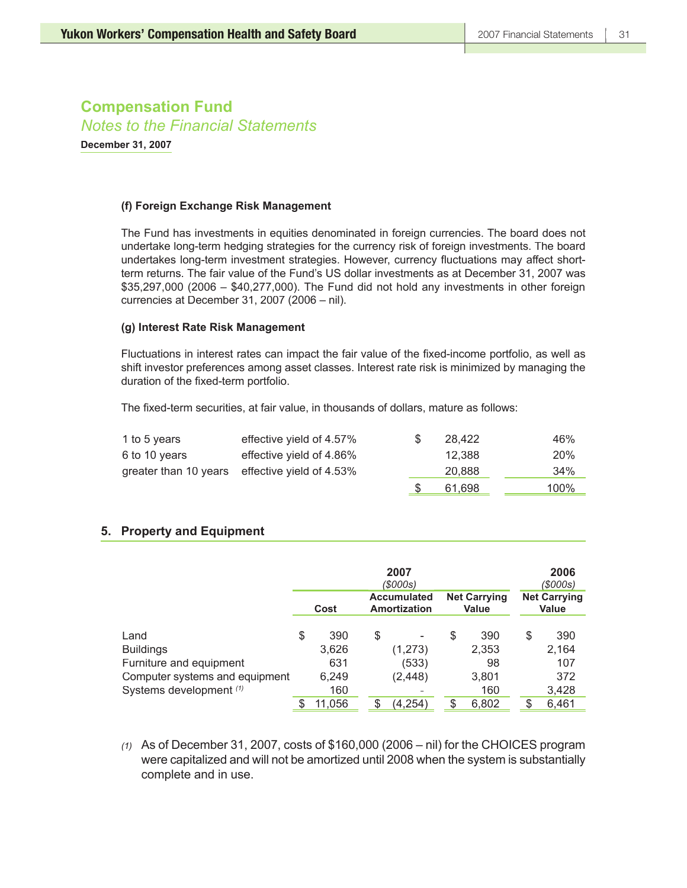**December 31, 2007**

### **(f) Foreign Exchange Risk Management**

The Fund has investments in equities denominated in foreign currencies. The board does not undertake long-term hedging strategies for the currency risk of foreign investments. The board undertakes long-term investment strategies. However, currency fluctuations may affect shortterm returns. The fair value of the Fund's US dollar investments as at December 31, 2007 was \$35,297,000 (2006 – \$40,277,000). The Fund did not hold any investments in other foreign currencies at December 31, 2007 (2006 – nil).

### **(g) Interest Rate Risk Management**

Fluctuations in interest rates can impact the fair value of the fixed-income portfolio, as well as shift investor preferences among asset classes. Interest rate risk is minimized by managing the duration of the fixed-term portfolio.

The fixed-term securities, at fair value, in thousands of dollars, mature as follows:

| 1 to 5 years  | effective yield of 4.57%                       | <sup>8</sup> | 28.422 | 46%        |
|---------------|------------------------------------------------|--------------|--------|------------|
| 6 to 10 years | effective yield of 4.86%                       |              | 12.388 | <b>20%</b> |
|               | greater than 10 years effective yield of 4.53% |              | 20,888 | 34%        |
|               |                                                |              | 61,698 | 100%       |

### **5. Property and Equipment**

|                                | 2007<br>(\$000s)                                                                         |        |   |                              |   |       |    | 2006<br>(\$000s) |
|--------------------------------|------------------------------------------------------------------------------------------|--------|---|------------------------------|---|-------|----|------------------|
|                                | <b>Net Carrying</b><br><b>Accumulated</b><br><b>Amortization</b><br><b>Value</b><br>Cost |        |   | <b>Net Carrying</b><br>Value |   |       |    |                  |
| Land                           | \$                                                                                       | 390    | S |                              | S | 390   | \$ | 390              |
| <b>Buildings</b>               |                                                                                          | 3,626  |   | (1,273)                      |   | 2,353 |    | 2,164            |
| Furniture and equipment        |                                                                                          | 631    |   | (533)                        |   | 98    |    | 107              |
| Computer systems and equipment |                                                                                          | 6,249  |   | (2, 448)                     |   | 3,801 |    | 372              |
| Systems development (1)        |                                                                                          | 160    |   |                              |   | 160   |    | 3,428            |
|                                |                                                                                          | 11,056 |   | (4,254)                      |   | 6,802 |    | 6,461            |

*(1)* As of December 31, 2007, costs of \$160,000 (2006 – nil) for the CHOICES program were capitalized and will not be amortized until 2008 when the system is substantially complete and in use.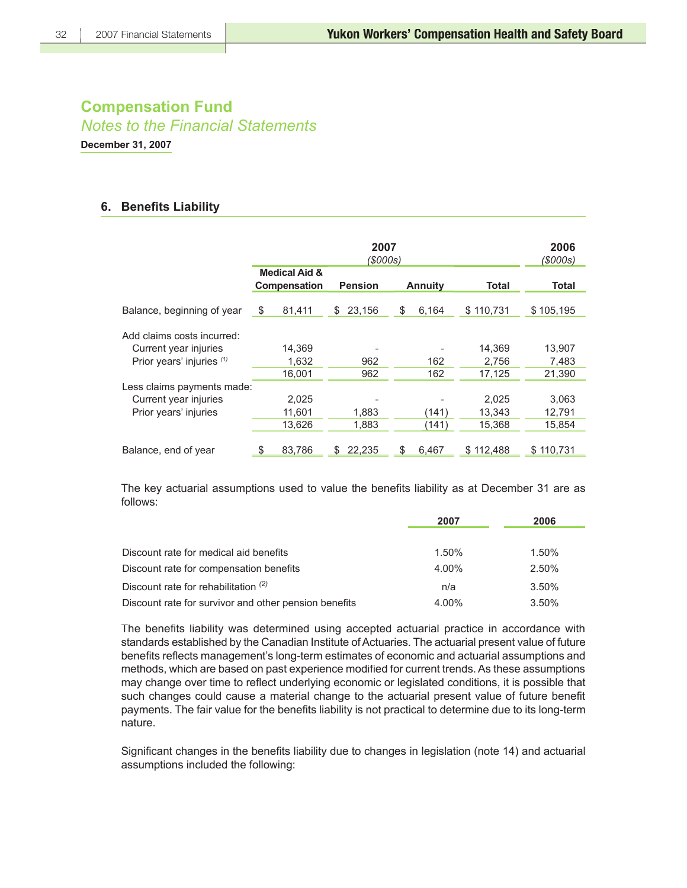**December 31, 2007**

### **6. Benefits Liability**

|                                                     |    | 2006<br>(\$000s)                         |                                  |        |       |              |           |           |
|-----------------------------------------------------|----|------------------------------------------|----------------------------------|--------|-------|--------------|-----------|-----------|
|                                                     |    | <b>Medical Aid &amp;</b><br>Compensation | <b>Pension</b><br><b>Annuity</b> |        | Total | <b>Total</b> |           |           |
| Balance, beginning of year                          | \$ | 81,411                                   | \$                               | 23,156 | \$    | 6.164        | \$110,731 | \$105,195 |
| Add claims costs incurred:<br>Current year injuries |    | 14,369                                   |                                  |        |       |              | 14,369    | 13,907    |
| Prior years' injuries (1)                           |    | 1.632                                    |                                  | 962    |       | 162          | 2,756     | 7,483     |
|                                                     |    | 16,001                                   |                                  | 962    |       | 162          | 17,125    | 21,390    |
| Less claims payments made:                          |    |                                          |                                  |        |       |              |           |           |
| Current year injuries                               |    | 2,025                                    |                                  |        |       |              | 2,025     | 3,063     |
| Prior years' injuries                               |    | 11,601                                   |                                  | 1,883  |       | (141)        | 13,343    | 12,791    |
|                                                     |    | 13,626                                   |                                  | 1,883  |       | (141)        | 15,368    | 15,854    |
| Balance, end of year                                | \$ | 83,786                                   | S                                | 22,235 | S     | 6,467        | \$112,488 | \$110,731 |

The key actuarial assumptions used to value the benefits liability as at December 31 are as follows:

|                                                       | 2007  | 2006  |
|-------------------------------------------------------|-------|-------|
|                                                       |       |       |
| Discount rate for medical aid benefits                | 1.50% | 1.50% |
| Discount rate for compensation benefits               | 4.00% | 2.50% |
| Discount rate for rehabilitation $(2)$                | n/a   | 3.50% |
| Discount rate for survivor and other pension benefits | 4.00% | 3.50% |

The benefits liability was determined using accepted actuarial practice in accordance with standards established by the Canadian Institute of Actuaries. The actuarial present value of future benefits reflects management's long-term estimates of economic and actuarial assumptions and methods, which are based on past experience modified for current trends. As these assumptions may change over time to reflect underlying economic or legislated conditions, it is possible that such changes could cause a material change to the actuarial present value of future benefit payments. The fair value for the benefits liability is not practical to determine due to its long-term nature.

Significant changes in the benefits liability due to changes in legislation (note 14) and actuarial assumptions included the following: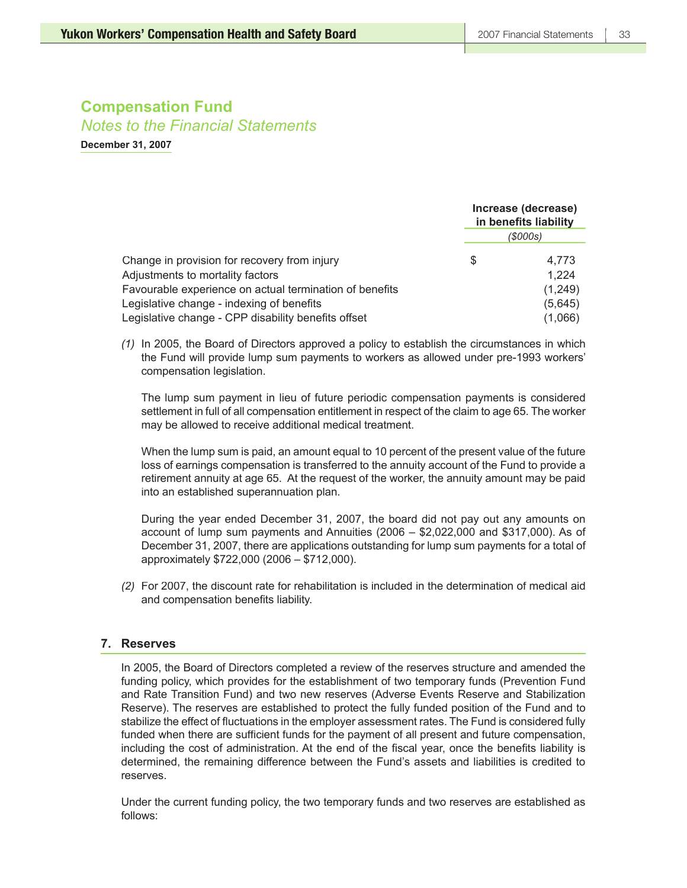*Notes to the Financial Statements*

**December 31, 2007**

|                                                                                                      | Increase (decrease)<br>in benefits liability |                    |
|------------------------------------------------------------------------------------------------------|----------------------------------------------|--------------------|
|                                                                                                      | (\$000s)                                     |                    |
| Change in provision for recovery from injury                                                         | S                                            | 4.773              |
| Adjustments to mortality factors                                                                     |                                              | 1,224              |
| Favourable experience on actual termination of benefits<br>Legislative change - indexing of benefits |                                              | (1,249)<br>(5,645) |
| Legislative change - CPP disability benefits offset                                                  |                                              | (1,066)            |

*(1)* In 2005, the Board of Directors approved a policy to establish the circumstances in which the Fund will provide lump sum payments to workers as allowed under pre-1993 workers' compensation legislation.

The lump sum payment in lieu of future periodic compensation payments is considered settlement in full of all compensation entitlement in respect of the claim to age 65. The worker may be allowed to receive additional medical treatment.

When the lump sum is paid, an amount equal to 10 percent of the present value of the future loss of earnings compensation is transferred to the annuity account of the Fund to provide a retirement annuity at age 65. At the request of the worker, the annuity amount may be paid into an established superannuation plan.

During the year ended December 31, 2007, the board did not pay out any amounts on account of lump sum payments and Annuities (2006 – \$2,022,000 and \$317,000). As of December 31, 2007, there are applications outstanding for lump sum payments for a total of approximately \$722,000 (2006 – \$712,000).

*(2)* For 2007, the discount rate for rehabilitation is included in the determination of medical aid and compensation benefits liability.

### **7. Reserves**

In 2005, the Board of Directors completed a review of the reserves structure and amended the funding policy, which provides for the establishment of two temporary funds (Prevention Fund and Rate Transition Fund) and two new reserves (Adverse Events Reserve and Stabilization Reserve). The reserves are established to protect the fully funded position of the Fund and to stabilize the effect of fluctuations in the employer assessment rates. The Fund is considered fully funded when there are sufficient funds for the payment of all present and future compensation, including the cost of administration. At the end of the fiscal year, once the benefits liability is determined, the remaining difference between the Fund's assets and liabilities is credited to reserves.

Under the current funding policy, the two temporary funds and two reserves are established as follows: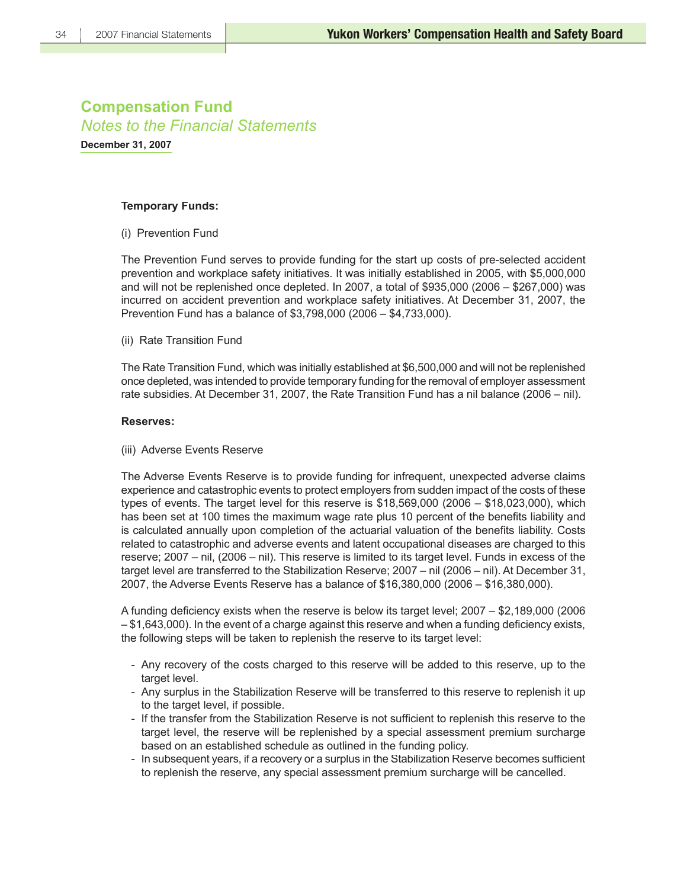**December 31, 2007**

### **Temporary Funds:**

(i) Prevention Fund

The Prevention Fund serves to provide funding for the start up costs of pre-selected accident prevention and workplace safety initiatives. It was initially established in 2005, with \$5,000,000 and will not be replenished once depleted. In 2007, a total of \$935,000 (2006 – \$267,000) was incurred on accident prevention and workplace safety initiatives. At December 31, 2007, the Prevention Fund has a balance of \$3,798,000 (2006 – \$4,733,000).

(ii) Rate Transition Fund

The Rate Transition Fund, which was initially established at \$6,500,000 and will not be replenished once depleted, was intended to provide temporary funding for the removal of employer assessment rate subsidies. At December 31, 2007, the Rate Transition Fund has a nil balance (2006 – nil).

### **Reserves:**

(iii) Adverse Events Reserve

The Adverse Events Reserve is to provide funding for infrequent, unexpected adverse claims experience and catastrophic events to protect employers from sudden impact of the costs of these types of events. The target level for this reserve is \$18,569,000 (2006 – \$18,023,000), which has been set at 100 times the maximum wage rate plus 10 percent of the benefits liability and is calculated annually upon completion of the actuarial valuation of the benefits liability. Costs related to catastrophic and adverse events and latent occupational diseases are charged to this reserve; 2007 – nil, (2006 – nil). This reserve is limited to its target level. Funds in excess of the target level are transferred to the Stabilization Reserve; 2007 – nil (2006 – nil). At December 31, 2007, the Adverse Events Reserve has a balance of \$16,380,000 (2006 – \$16,380,000).

A funding deficiency exists when the reserve is below its target level; 2007 – \$2,189,000 (2006)  $-$  \$1,643,000). In the event of a charge against this reserve and when a funding deficiency exists, the following steps will be taken to replenish the reserve to its target level:

- Any recovery of the costs charged to this reserve will be added to this reserve, up to the target level.
- Any surplus in the Stabilization Reserve will be transferred to this reserve to replenish it up to the target level, if possible.
- If the transfer from the Stabilization Reserve is not sufficient to replenish this reserve to the target level, the reserve will be replenished by a special assessment premium surcharge based on an established schedule as outlined in the funding policy.
- In subsequent years, if a recovery or a surplus in the Stabilization Reserve becomes sufficient to replenish the reserve, any special assessment premium surcharge will be cancelled.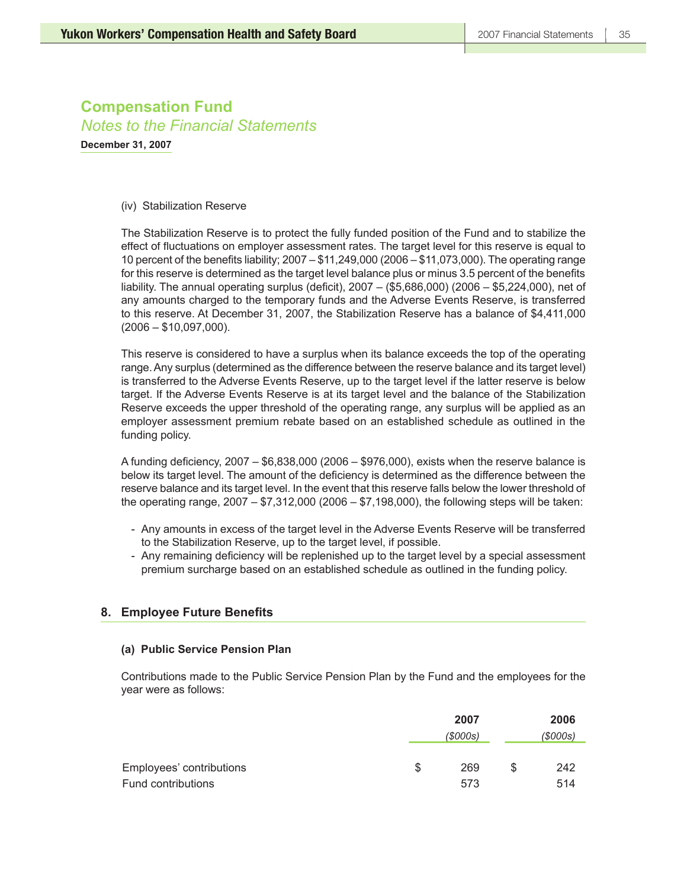**December 31, 2007**

### (iv) Stabilization Reserve

The Stabilization Reserve is to protect the fully funded position of the Fund and to stabilize the effect of fluctuations on employer assessment rates. The target level for this reserve is equal to 10 percent of the benefits liability;  $2007 - $11,249,000$   $(2006 - $11,073,000)$ . The operating range for this reserve is determined as the target level balance plus or minus 3.5 percent of the benefits liability. The annual operating surplus (deficit),  $2007 - (15,686,000)$  (2006 – \$5,224,000), net of any amounts charged to the temporary funds and the Adverse Events Reserve, is transferred to this reserve. At December 31, 2007, the Stabilization Reserve has a balance of \$4,411,000 (2006 – \$10,097,000).

This reserve is considered to have a surplus when its balance exceeds the top of the operating range. Any surplus (determined as the difference between the reserve balance and its target level) is transferred to the Adverse Events Reserve, up to the target level if the latter reserve is below target. If the Adverse Events Reserve is at its target level and the balance of the Stabilization Reserve exceeds the upper threshold of the operating range, any surplus will be applied as an employer assessment premium rebate based on an established schedule as outlined in the funding policy.

A funding deficiency,  $2007 - $6,838,000$  ( $2006 - $976,000$ ), exists when the reserve balance is below its target level. The amount of the deficiency is determined as the difference between the reserve balance and its target level. In the event that this reserve falls below the lower threshold of the operating range, 2007 – \$7,312,000 (2006 – \$7,198,000), the following steps will be taken:

- Any amounts in excess of the target level in the Adverse Events Reserve will be transferred to the Stabilization Reserve, up to the target level, if possible.
- Any remaining deficiency will be replenished up to the target level by a special assessment premium surcharge based on an established schedule as outlined in the funding policy.

### **8. Employee Future Benefits**

### **(a) Public Service Pension Plan**

Contributions made to the Public Service Pension Plan by the Fund and the employees for the year were as follows:

|                          |   | 2007    |   | 2006   |
|--------------------------|---|---------|---|--------|
|                          |   | (S000s) |   | (000s) |
|                          |   |         |   |        |
| Employees' contributions | S | 269     | S | 242    |
| Fund contributions       |   | 573     |   | 514    |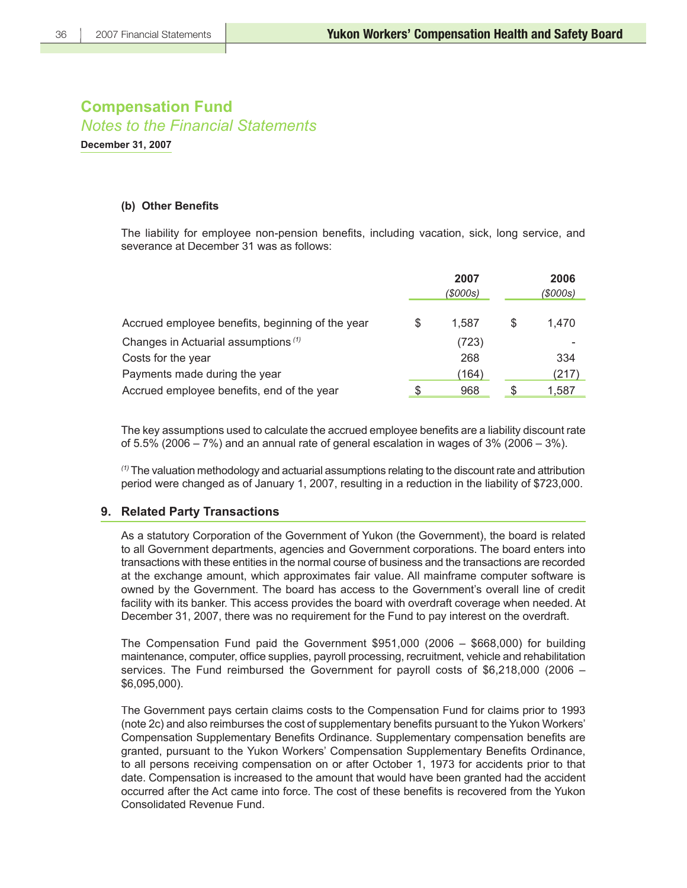**December 31, 2007**

### **(b) Other Benefits**

The liability for employee non-pension benefits, including vacation, sick, long service, and severance at December 31 was as follows:

|                                                  |   | 2007<br>(\$000s) |   | 2006<br>(\$000s) |  |
|--------------------------------------------------|---|------------------|---|------------------|--|
| Accrued employee benefits, beginning of the year | S | 1.587            | S | 1,470            |  |
| Changes in Actuarial assumptions <sup>(1)</sup>  |   | (723)            |   |                  |  |
| Costs for the year                               |   | 268              |   | 334              |  |
| Payments made during the year                    |   | (164)            |   | (217)            |  |
| Accrued employee benefits, end of the year       | S | 968              |   | 1,587            |  |

The key assumptions used to calculate the accrued employee benefits are a liability discount rate of 5.5% (2006 – 7%) and an annual rate of general escalation in wages of 3% (2006 – 3%).

*(1)* The valuation methodology and actuarial assumptions relating to the discount rate and attribution period were changed as of January 1, 2007, resulting in a reduction in the liability of \$723,000.

### **9. Related Party Transactions**

As a statutory Corporation of the Government of Yukon (the Government), the board is related to all Government departments, agencies and Government corporations. The board enters into transactions with these entities in the normal course of business and the transactions are recorded at the exchange amount, which approximates fair value. All mainframe computer software is owned by the Government. The board has access to the Government's overall line of credit facility with its banker. This access provides the board with overdraft coverage when needed. At December 31, 2007, there was no requirement for the Fund to pay interest on the overdraft.

The Compensation Fund paid the Government \$951,000 (2006 – \$668,000) for building maintenance, computer, office supplies, payroll processing, recruitment, vehicle and rehabilitation services. The Fund reimbursed the Government for payroll costs of \$6,218,000 (2006 – \$6,095,000).

The Government pays certain claims costs to the Compensation Fund for claims prior to 1993 (note 2c) and also reimburses the cost of supplementary benefits pursuant to the Yukon Workers' Compensation Supplementary Benefits Ordinance. Supplementary compensation benefits are granted, pursuant to the Yukon Workers' Compensation Supplementary Benefits Ordinance, to all persons receiving compensation on or after October 1, 1973 for accidents prior to that date. Compensation is increased to the amount that would have been granted had the accident occurred after the Act came into force. The cost of these benefits is recovered from the Yukon Consolidated Revenue Fund.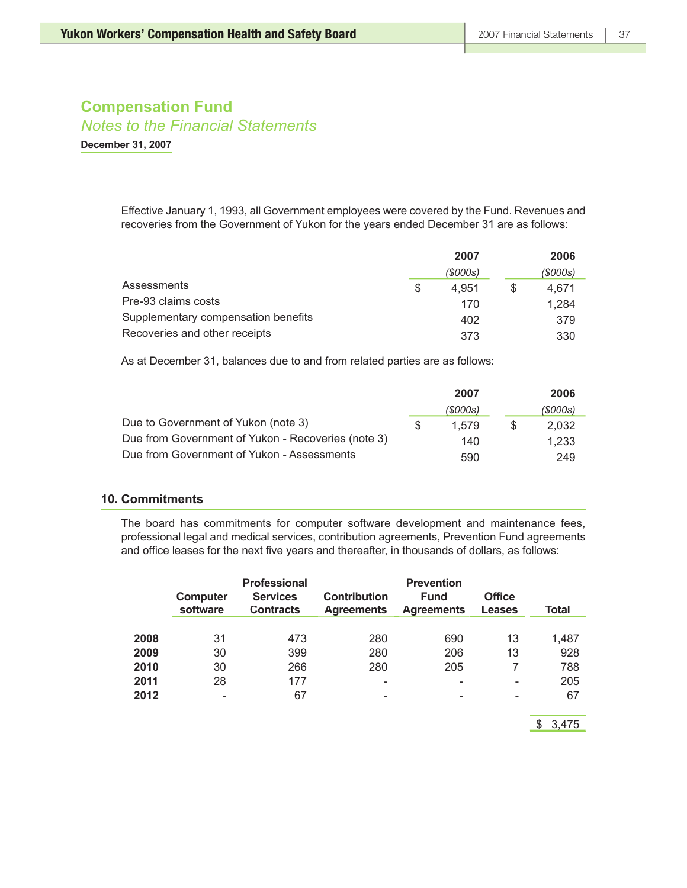*Notes to the Financial Statements*

**December 31, 2007**

Effective January 1, 1993, all Government employees were covered by the Fund. Revenues and recoveries from the Government of Yukon for the years ended December 31 are as follows:

|                                     | 2007 |          |   | 2006     |  |
|-------------------------------------|------|----------|---|----------|--|
|                                     |      | (\$000s) |   | (\$000s) |  |
| Assessments                         | S    | 4.951    | S | 4.671    |  |
| Pre-93 claims costs                 |      | 170      |   | 1.284    |  |
| Supplementary compensation benefits |      | 402      |   | 379      |  |
| Recoveries and other receipts       |      | 373      |   | 330      |  |

As at December 31, balances due to and from related parties are as follows:

|                                                    |     | 2007     |     | 2006     |
|----------------------------------------------------|-----|----------|-----|----------|
|                                                    |     | (\$000s) |     | (\$000s) |
| Due to Government of Yukon (note 3)                | ·SS | 1.579    | SS. | 2.032    |
| Due from Government of Yukon - Recoveries (note 3) |     | 140      |     | 1.233    |
| Due from Government of Yukon - Assessments         |     | 590      |     | 249      |

### **10. Commitments**

The board has commitments for computer software development and maintenance fees, professional legal and medical services, contribution agreements, Prevention Fund agreements and office leases for the next five years and thereafter, in thousands of dollars, as follows:

|              | Computer<br>software | Professional<br><b>Services</b><br><b>Contracts</b> | <b>Contribution</b><br><b>Agreements</b> | <b>Prevention</b><br><b>Fund</b><br><b>Agreements</b> | <b>Office</b><br><b>Leases</b> | Total     |
|--------------|----------------------|-----------------------------------------------------|------------------------------------------|-------------------------------------------------------|--------------------------------|-----------|
| 2008         | 31                   | 473                                                 | 280                                      | 690                                                   | 13                             | 1,487     |
| 2009         | 30                   | 399                                                 | 280                                      | 206                                                   | 13                             | 928       |
| 2010         | 30                   | 266                                                 | 280                                      | 205                                                   |                                | 788       |
| 2011<br>2012 | 28<br>-              | 177<br>67                                           | -                                        | -                                                     | -<br>-                         | 205<br>67 |

\$ 3,475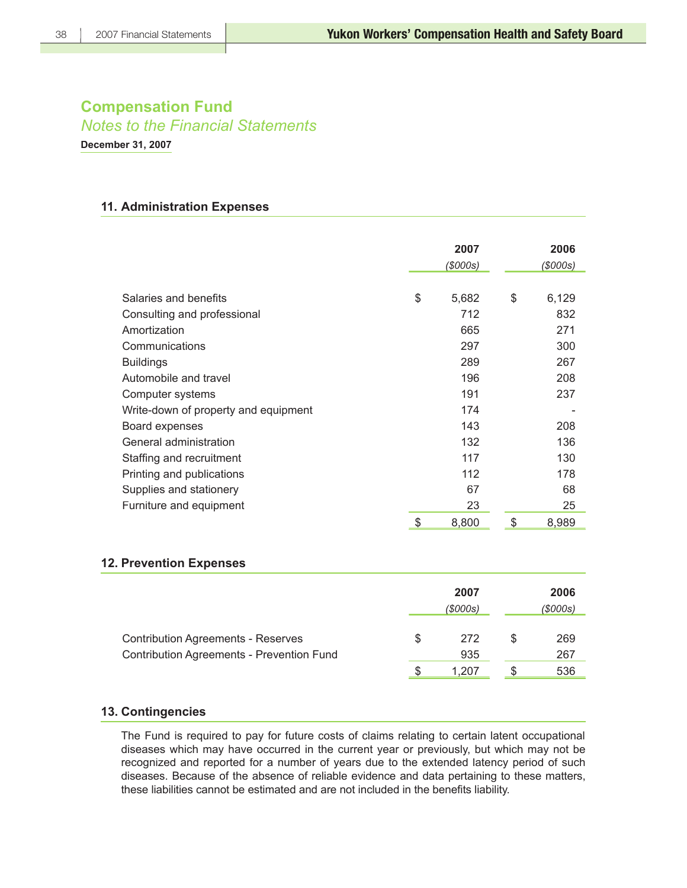*Notes to the Financial Statements*

**December 31, 2007**

### **11. Administration Expenses**

|                                      | 2007        | 2006        |
|--------------------------------------|-------------|-------------|
|                                      | (\$000s)    | (\$000s)    |
|                                      |             |             |
| Salaries and benefits                | \$<br>5,682 | \$<br>6,129 |
| Consulting and professional          | 712         | 832         |
| Amortization                         | 665         | 271         |
| Communications                       | 297         | 300         |
| <b>Buildings</b>                     | 289         | 267         |
| Automobile and travel                | 196         | 208         |
| Computer systems                     | 191         | 237         |
| Write-down of property and equipment | 174         |             |
| Board expenses                       | 143         | 208         |
| General administration               | 132         | 136         |
| Staffing and recruitment             | 117         | 130         |
| Printing and publications            | 112         | 178         |
| Supplies and stationery              | 67          | 68          |
| Furniture and equipment              | 23          | 25          |
|                                      | \$<br>8,800 | \$<br>8,989 |

### **12. Prevention Expenses**

|                                                                                               | 2007<br>(\$000s) |            |     | 2006<br>(\$000s) |  |
|-----------------------------------------------------------------------------------------------|------------------|------------|-----|------------------|--|
| <b>Contribution Agreements - Reserves</b><br><b>Contribution Agreements - Prevention Fund</b> | S                | 272<br>935 | \$. | 269<br>267       |  |
|                                                                                               |                  | 1.207      |     | 536              |  |

### **13. Contingencies**

The Fund is required to pay for future costs of claims relating to certain latent occupational diseases which may have occurred in the current year or previously, but which may not be recognized and reported for a number of years due to the extended latency period of such diseases. Because of the absence of reliable evidence and data pertaining to these matters, these liabilities cannot be estimated and are not included in the benefits liability.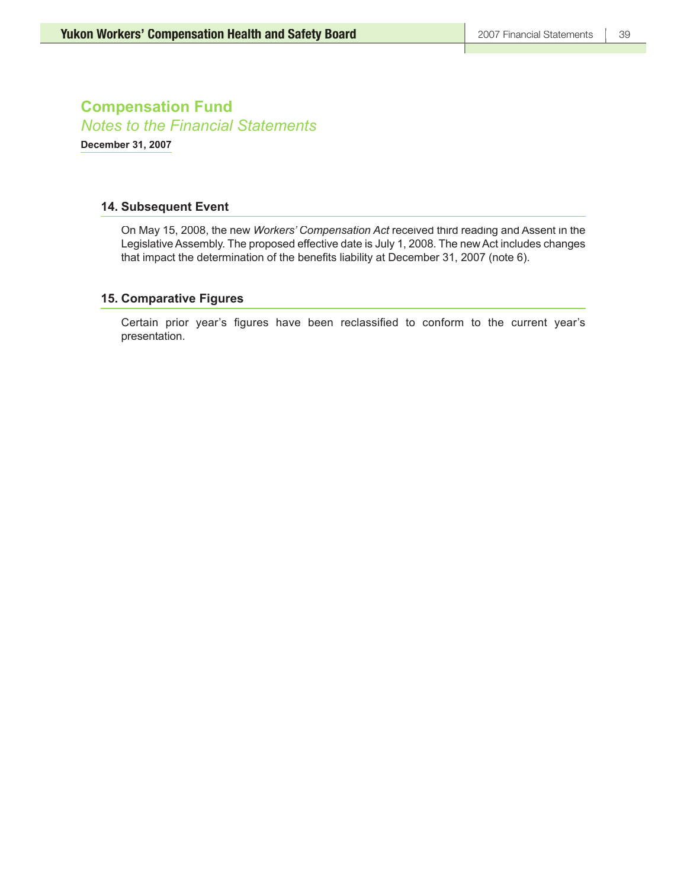**Compensation Fund** *Notes to the Financial Statements* **December 31, 2007**

### **14. Subsequent Event**

On May 15, 2008, the new *Workers' Compensation Act* received third reading and Assent in the Legislative Assembly. The proposed effective date is July 1, 2008. The new Act includes changes that impact the determination of the benefits liability at December 31, 2007 (note 6).

### **15. Comparative Figures**

Certain prior year's figures have been reclassified to conform to the current year's presentation.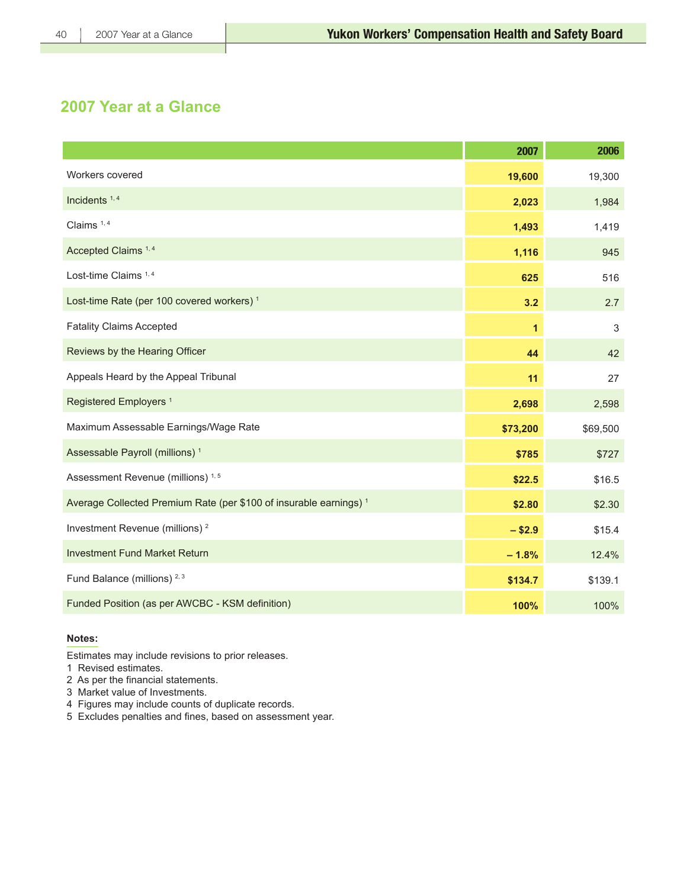## **2007 Year at a Glance**

|                                                                               | 2007     | 2006     |
|-------------------------------------------------------------------------------|----------|----------|
| Workers covered                                                               | 19,600   | 19,300   |
| Incidents $1, 4$                                                              | 2,023    | 1,984    |
| Claims <sup>1,4</sup>                                                         | 1,493    | 1,419    |
| Accepted Claims <sup>1,4</sup>                                                | 1,116    | 945      |
| Lost-time Claims <sup>1,4</sup>                                               | 625      | 516      |
| Lost-time Rate (per 100 covered workers) <sup>1</sup>                         | 3.2      | 2.7      |
| <b>Fatality Claims Accepted</b>                                               | 1        | 3        |
| Reviews by the Hearing Officer                                                | 44       | 42       |
| Appeals Heard by the Appeal Tribunal                                          | 11       | 27       |
| Registered Employers <sup>1</sup>                                             | 2,698    | 2,598    |
| Maximum Assessable Earnings/Wage Rate                                         | \$73,200 | \$69,500 |
| Assessable Payroll (millions) <sup>1</sup>                                    | \$785    | \$727    |
| Assessment Revenue (millions) <sup>1,5</sup>                                  | \$22.5   | \$16.5   |
| Average Collected Premium Rate (per \$100 of insurable earnings) <sup>1</sup> | \$2.80   | \$2.30   |
| Investment Revenue (millions) <sup>2</sup>                                    | $- $2.9$ | \$15.4   |
| <b>Investment Fund Market Return</b>                                          | $-1.8%$  | 12.4%    |
| Fund Balance (millions) <sup>2,3</sup>                                        | \$134.7  | \$139.1  |
| Funded Position (as per AWCBC - KSM definition)                               | 100%     | 100%     |

### **Notes:**

Estimates may include revisions to prior releases.

1 Revised estimates.

- 2 As per the financial statements.
- 3 Market value of Investments.
- 4 Figures may include counts of duplicate records.
- 5 Excludes penalties and fines, based on assessment year.